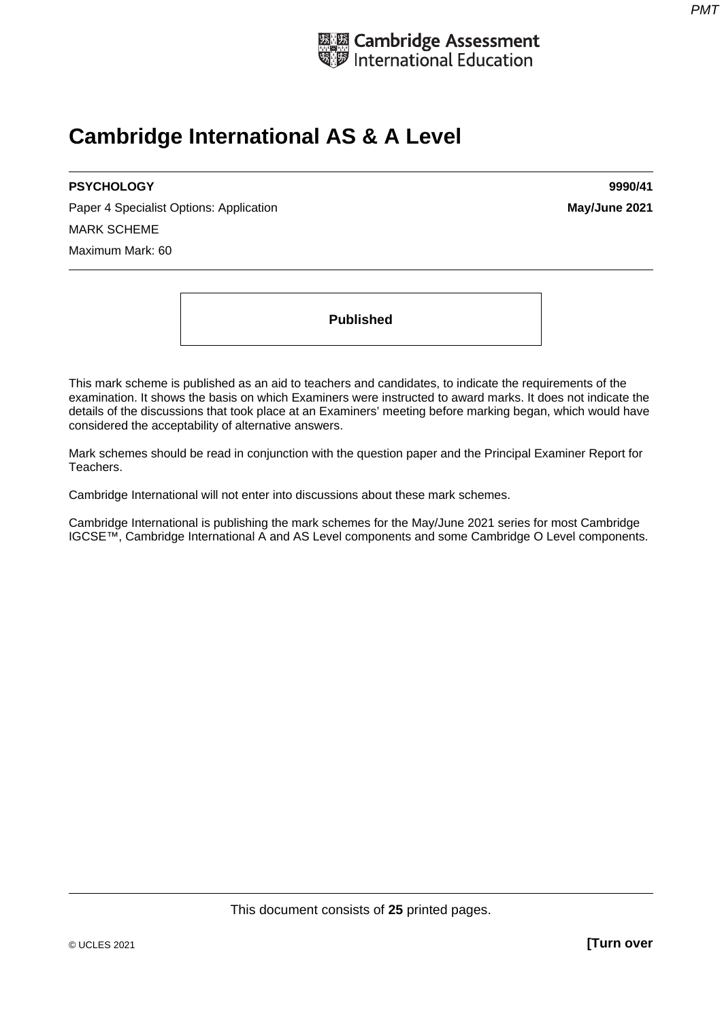

# **Cambridge International AS & A Level**

#### **PSYCHOLOGY 9990/41**

Paper 4 Specialist Options: Application **May/June 2021 May/June 2021** MARK SCHEME Maximum Mark: 60

**Published** 

This mark scheme is published as an aid to teachers and candidates, to indicate the requirements of the examination. It shows the basis on which Examiners were instructed to award marks. It does not indicate the details of the discussions that took place at an Examiners' meeting before marking began, which would have considered the acceptability of alternative answers.

Mark schemes should be read in conjunction with the question paper and the Principal Examiner Report for Teachers.

Cambridge International will not enter into discussions about these mark schemes.

Cambridge International is publishing the mark schemes for the May/June 2021 series for most Cambridge IGCSE™, Cambridge International A and AS Level components and some Cambridge O Level components.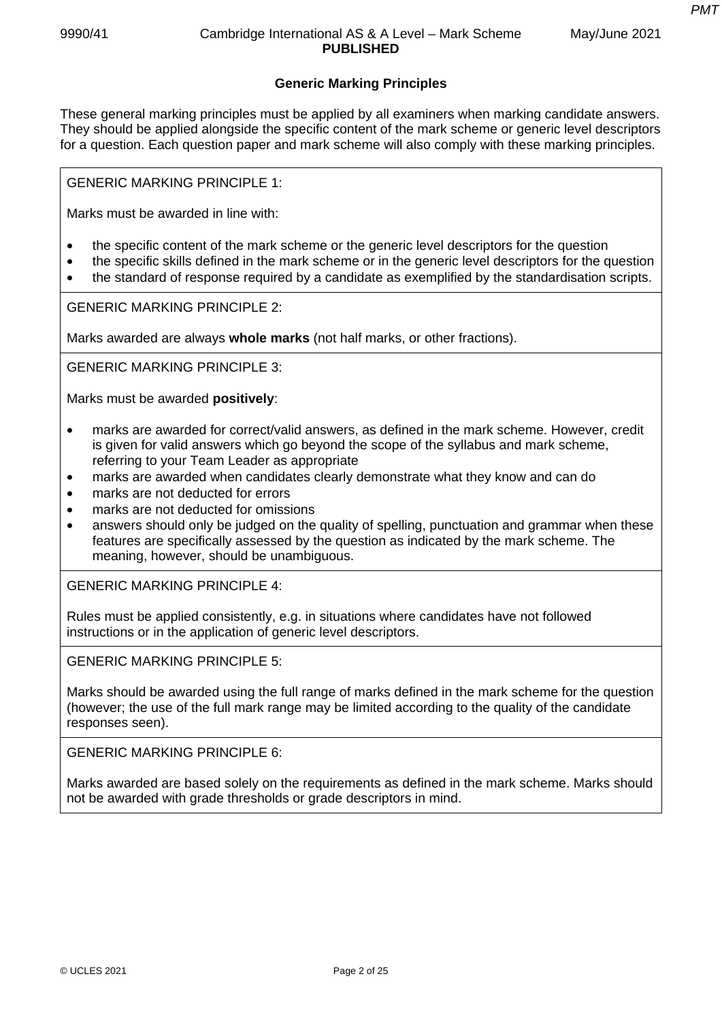*PMT*

## **Generic Marking Principles**

These general marking principles must be applied by all examiners when marking candidate answers. They should be applied alongside the specific content of the mark scheme or generic level descriptors for a question. Each question paper and mark scheme will also comply with these marking principles.

GENERIC MARKING PRINCIPLE 1:

Marks must be awarded in line with:

- the specific content of the mark scheme or the generic level descriptors for the question
- the specific skills defined in the mark scheme or in the generic level descriptors for the question
- the standard of response required by a candidate as exemplified by the standardisation scripts.

GENERIC MARKING PRINCIPLE 2:

Marks awarded are always **whole marks** (not half marks, or other fractions).

GENERIC MARKING PRINCIPLE 3:

Marks must be awarded **positively**:

- marks are awarded for correct/valid answers, as defined in the mark scheme. However, credit is given for valid answers which go beyond the scope of the syllabus and mark scheme, referring to your Team Leader as appropriate
- marks are awarded when candidates clearly demonstrate what they know and can do
- marks are not deducted for errors
- marks are not deducted for omissions
- answers should only be judged on the quality of spelling, punctuation and grammar when these features are specifically assessed by the question as indicated by the mark scheme. The meaning, however, should be unambiguous.

GENERIC MARKING PRINCIPLE 4:

Rules must be applied consistently, e.g. in situations where candidates have not followed instructions or in the application of generic level descriptors.

GENERIC MARKING PRINCIPLE 5:

Marks should be awarded using the full range of marks defined in the mark scheme for the question (however; the use of the full mark range may be limited according to the quality of the candidate responses seen).

GENERIC MARKING PRINCIPLE 6:

Marks awarded are based solely on the requirements as defined in the mark scheme. Marks should not be awarded with grade thresholds or grade descriptors in mind.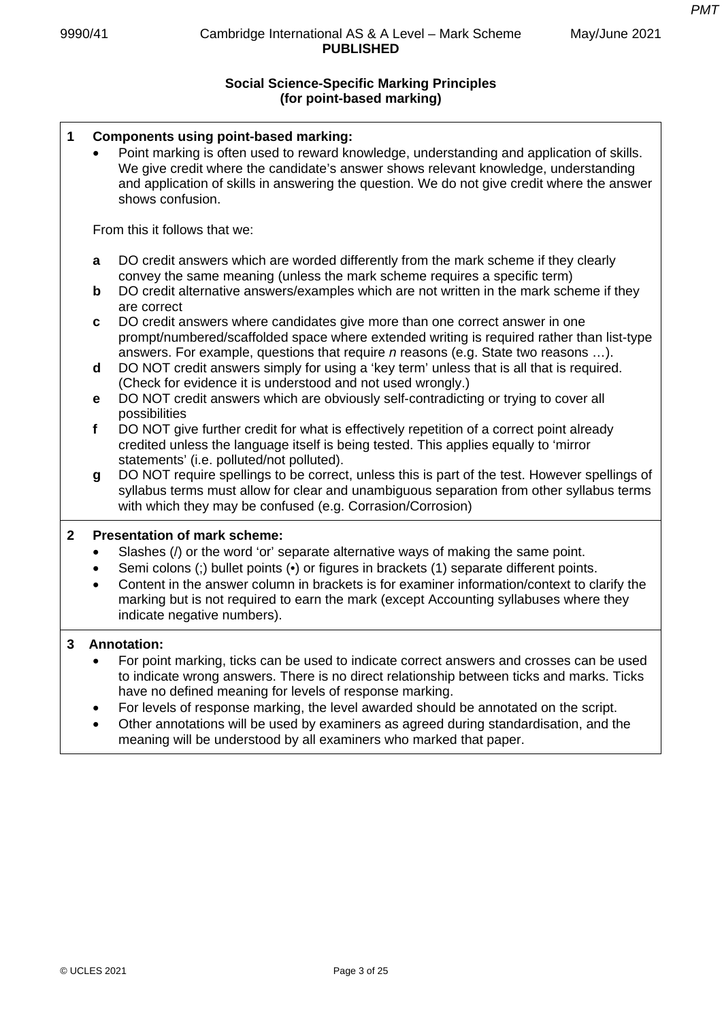## **Social Science-Specific Marking Principles (for point-based marking)**

| 1            |                                     | <b>Components using point-based marking:</b><br>Point marking is often used to reward knowledge, understanding and application of skills.<br>We give credit where the candidate's answer shows relevant knowledge, understanding<br>and application of skills in answering the question. We do not give credit where the answer<br>shows confusion.                                                |  |  |  |
|--------------|-------------------------------------|----------------------------------------------------------------------------------------------------------------------------------------------------------------------------------------------------------------------------------------------------------------------------------------------------------------------------------------------------------------------------------------------------|--|--|--|
|              |                                     | From this it follows that we:                                                                                                                                                                                                                                                                                                                                                                      |  |  |  |
|              | a                                   | DO credit answers which are worded differently from the mark scheme if they clearly<br>convey the same meaning (unless the mark scheme requires a specific term)                                                                                                                                                                                                                                   |  |  |  |
|              | $\mathbf b$                         | DO credit alternative answers/examples which are not written in the mark scheme if they<br>are correct                                                                                                                                                                                                                                                                                             |  |  |  |
|              | C                                   | DO credit answers where candidates give more than one correct answer in one<br>prompt/numbered/scaffolded space where extended writing is required rather than list-type<br>answers. For example, questions that require $n$ reasons (e.g. State two reasons ).                                                                                                                                    |  |  |  |
|              | d                                   | DO NOT credit answers simply for using a 'key term' unless that is all that is required.<br>(Check for evidence it is understood and not used wrongly.)                                                                                                                                                                                                                                            |  |  |  |
|              | е                                   | DO NOT credit answers which are obviously self-contradicting or trying to cover all<br>possibilities                                                                                                                                                                                                                                                                                               |  |  |  |
|              | f                                   | DO NOT give further credit for what is effectively repetition of a correct point already<br>credited unless the language itself is being tested. This applies equally to 'mirror<br>statements' (i.e. polluted/not polluted).                                                                                                                                                                      |  |  |  |
|              | $\boldsymbol{g}$                    | DO NOT require spellings to be correct, unless this is part of the test. However spellings of<br>syllabus terms must allow for clear and unambiguous separation from other syllabus terms<br>with which they may be confused (e.g. Corrasion/Corrosion)                                                                                                                                            |  |  |  |
| $\mathbf{2}$ | <b>Presentation of mark scheme:</b> |                                                                                                                                                                                                                                                                                                                                                                                                    |  |  |  |
|              | $\bullet$<br>$\bullet$              | Slashes (/) or the word 'or' separate alternative ways of making the same point.<br>Semi colons (;) bullet points (•) or figures in brackets (1) separate different points.<br>Content in the answer column in brackets is for examiner information/context to clarify the<br>marking but is not required to earn the mark (except Accounting syllabuses where they<br>indicate negative numbers). |  |  |  |
| 3            |                                     | <b>Annotation:</b>                                                                                                                                                                                                                                                                                                                                                                                 |  |  |  |
|              | $\bullet$                           | For point marking, ticks can be used to indicate correct answers and crosses can be used<br>to indicate wrong answers. There is no direct relationship between ticks and marks. Ticks<br>have no defined meaning for levels of response marking.                                                                                                                                                   |  |  |  |
|              | $\bullet$                           | For levels of response marking, the level awarded should be annotated on the script.<br>Other annotations will be used by examiners as agreed during standardisation, and the<br>meaning will be understood by all examiners who marked that paper.                                                                                                                                                |  |  |  |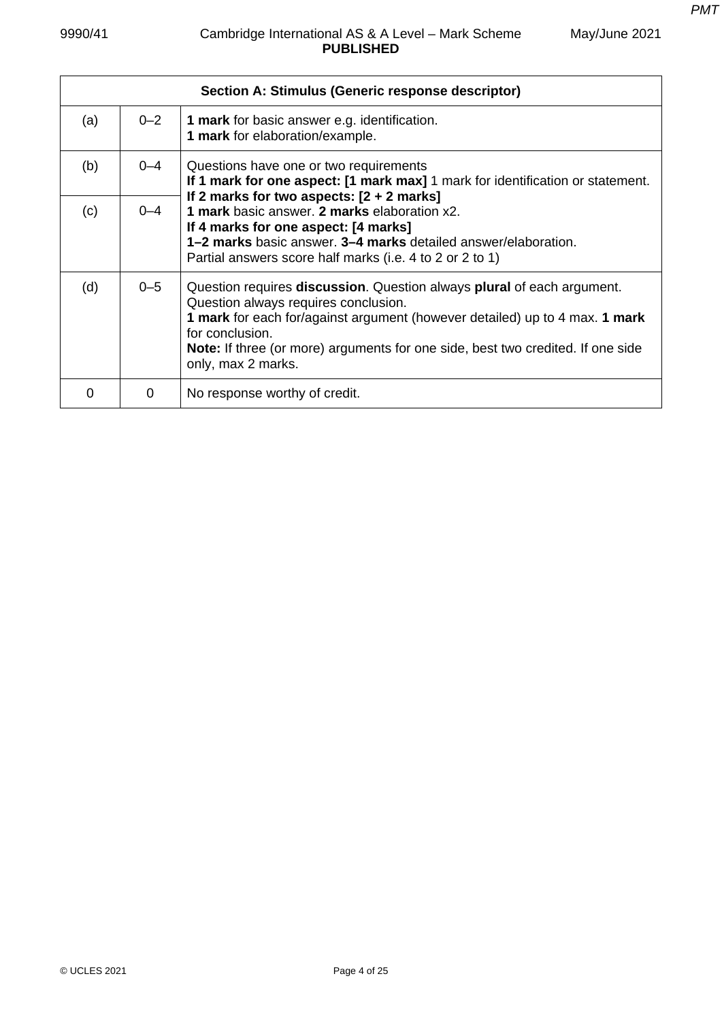*PMT*

May/June 2021

|     |         | Section A: Stimulus (Generic response descriptor)                                                                                                                                                                                                                                                                                               |
|-----|---------|-------------------------------------------------------------------------------------------------------------------------------------------------------------------------------------------------------------------------------------------------------------------------------------------------------------------------------------------------|
| (a) | $0 - 2$ | <b>1 mark</b> for basic answer e.g. identification.<br>1 mark for elaboration/example.                                                                                                                                                                                                                                                          |
| (b) | $0 - 4$ | Questions have one or two requirements<br>If 1 mark for one aspect: [1 mark max] 1 mark for identification or statement.                                                                                                                                                                                                                        |
| (c) | $0 - 4$ | If 2 marks for two aspects: $[2 + 2$ marks]<br>1 mark basic answer. 2 marks elaboration x2.<br>If 4 marks for one aspect: [4 marks]<br>1-2 marks basic answer, 3-4 marks detailed answer/elaboration.<br>Partial answers score half marks (i.e. 4 to 2 or 2 to 1)                                                                               |
| (d) | $0 - 5$ | Question requires <b>discussion</b> . Question always <b>plural</b> of each argument.<br>Question always requires conclusion.<br>1 mark for each for/against argument (however detailed) up to 4 max. 1 mark<br>for conclusion.<br><b>Note:</b> If three (or more) arguments for one side, best two credited. If one side<br>only, max 2 marks. |
| 0   | 0       | No response worthy of credit.                                                                                                                                                                                                                                                                                                                   |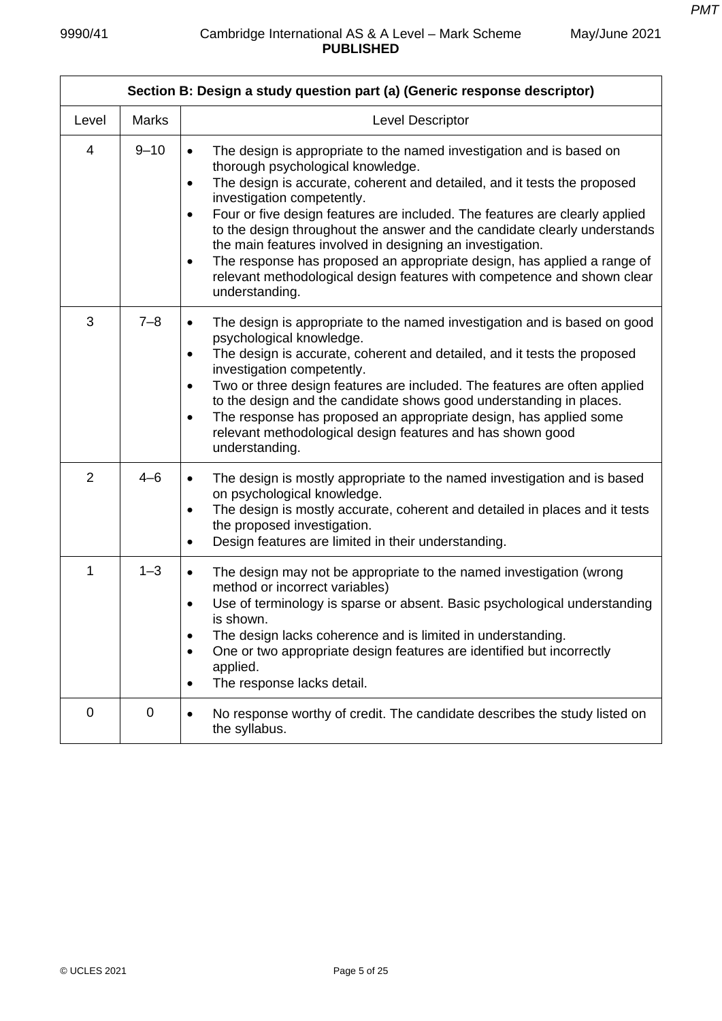| Section B: Design a study question part (a) (Generic response descriptor) |              |                                                                                                                                                                                                                                                                                                                                                                                                                                                                                                                                                                                                                                                                          |  |  |
|---------------------------------------------------------------------------|--------------|--------------------------------------------------------------------------------------------------------------------------------------------------------------------------------------------------------------------------------------------------------------------------------------------------------------------------------------------------------------------------------------------------------------------------------------------------------------------------------------------------------------------------------------------------------------------------------------------------------------------------------------------------------------------------|--|--|
| Level                                                                     | <b>Marks</b> | Level Descriptor                                                                                                                                                                                                                                                                                                                                                                                                                                                                                                                                                                                                                                                         |  |  |
| 4                                                                         | $9 - 10$     | The design is appropriate to the named investigation and is based on<br>$\bullet$<br>thorough psychological knowledge.<br>The design is accurate, coherent and detailed, and it tests the proposed<br>$\bullet$<br>investigation competently.<br>Four or five design features are included. The features are clearly applied<br>$\bullet$<br>to the design throughout the answer and the candidate clearly understands<br>the main features involved in designing an investigation.<br>The response has proposed an appropriate design, has applied a range of<br>$\bullet$<br>relevant methodological design features with competence and shown clear<br>understanding. |  |  |
| 3                                                                         | $7 - 8$      | The design is appropriate to the named investigation and is based on good<br>$\bullet$<br>psychological knowledge.<br>The design is accurate, coherent and detailed, and it tests the proposed<br>$\bullet$<br>investigation competently.<br>Two or three design features are included. The features are often applied<br>$\bullet$<br>to the design and the candidate shows good understanding in places.<br>The response has proposed an appropriate design, has applied some<br>$\bullet$<br>relevant methodological design features and has shown good<br>understanding.                                                                                             |  |  |
| $\overline{2}$                                                            | $4 - 6$      | The design is mostly appropriate to the named investigation and is based<br>$\bullet$<br>on psychological knowledge.<br>The design is mostly accurate, coherent and detailed in places and it tests<br>$\bullet$<br>the proposed investigation.<br>Design features are limited in their understanding.<br>$\bullet$                                                                                                                                                                                                                                                                                                                                                      |  |  |
| 1                                                                         | $1 - 3$      | The design may not be appropriate to the named investigation (wrong<br>$\bullet$<br>method or incorrect variables)<br>Use of terminology is sparse or absent. Basic psychological understanding<br>$\bullet$<br>is shown.<br>The design lacks coherence and is limited in understanding.<br>$\bullet$<br>One or two appropriate design features are identified but incorrectly<br>$\bullet$<br>applied.<br>The response lacks detail.<br>$\bullet$                                                                                                                                                                                                                       |  |  |
| $\overline{0}$                                                            | 0            | No response worthy of credit. The candidate describes the study listed on<br>$\bullet$<br>the syllabus.                                                                                                                                                                                                                                                                                                                                                                                                                                                                                                                                                                  |  |  |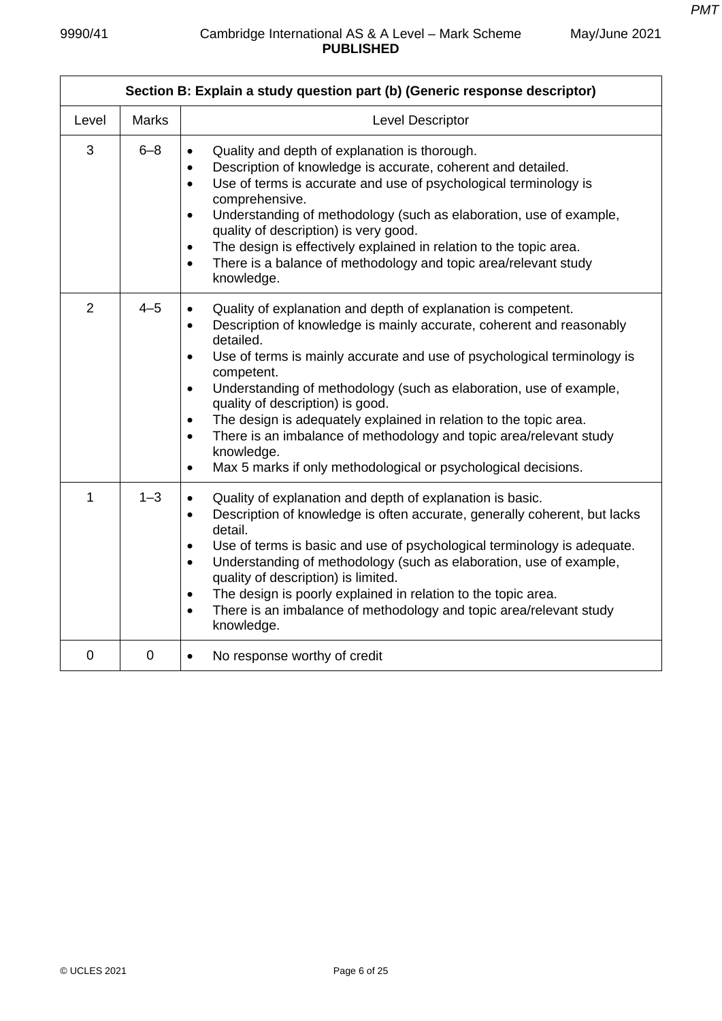| Section B: Explain a study question part (b) (Generic response descriptor) |              |                                                                                                                                                                                                                                                                                                                                                                                                                                                                                                                                                                                                                                                                |  |  |
|----------------------------------------------------------------------------|--------------|----------------------------------------------------------------------------------------------------------------------------------------------------------------------------------------------------------------------------------------------------------------------------------------------------------------------------------------------------------------------------------------------------------------------------------------------------------------------------------------------------------------------------------------------------------------------------------------------------------------------------------------------------------------|--|--|
| Level                                                                      | <b>Marks</b> | <b>Level Descriptor</b>                                                                                                                                                                                                                                                                                                                                                                                                                                                                                                                                                                                                                                        |  |  |
| 3                                                                          | $6 - 8$      | Quality and depth of explanation is thorough.<br>$\bullet$<br>Description of knowledge is accurate, coherent and detailed.<br>$\bullet$<br>Use of terms is accurate and use of psychological terminology is<br>$\bullet$<br>comprehensive.<br>Understanding of methodology (such as elaboration, use of example,<br>$\bullet$<br>quality of description) is very good.<br>The design is effectively explained in relation to the topic area.<br>$\bullet$<br>There is a balance of methodology and topic area/relevant study<br>$\bullet$<br>knowledge.                                                                                                        |  |  |
| $\overline{2}$                                                             | $4 - 5$      | Quality of explanation and depth of explanation is competent.<br>Description of knowledge is mainly accurate, coherent and reasonably<br>$\bullet$<br>detailed.<br>Use of terms is mainly accurate and use of psychological terminology is<br>$\bullet$<br>competent.<br>Understanding of methodology (such as elaboration, use of example,<br>$\bullet$<br>quality of description) is good.<br>The design is adequately explained in relation to the topic area.<br>$\bullet$<br>There is an imbalance of methodology and topic area/relevant study<br>$\bullet$<br>knowledge.<br>Max 5 marks if only methodological or psychological decisions.<br>$\bullet$ |  |  |
| 1                                                                          | $1 - 3$      | Quality of explanation and depth of explanation is basic.<br>$\bullet$<br>Description of knowledge is often accurate, generally coherent, but lacks<br>$\bullet$<br>detail.<br>Use of terms is basic and use of psychological terminology is adequate.<br>$\bullet$<br>Understanding of methodology (such as elaboration, use of example,<br>$\bullet$<br>quality of description) is limited.<br>The design is poorly explained in relation to the topic area.<br>$\bullet$<br>There is an imbalance of methodology and topic area/relevant study<br>$\bullet$<br>knowledge.                                                                                   |  |  |
| 0                                                                          | $\mathbf 0$  | No response worthy of credit<br>$\bullet$                                                                                                                                                                                                                                                                                                                                                                                                                                                                                                                                                                                                                      |  |  |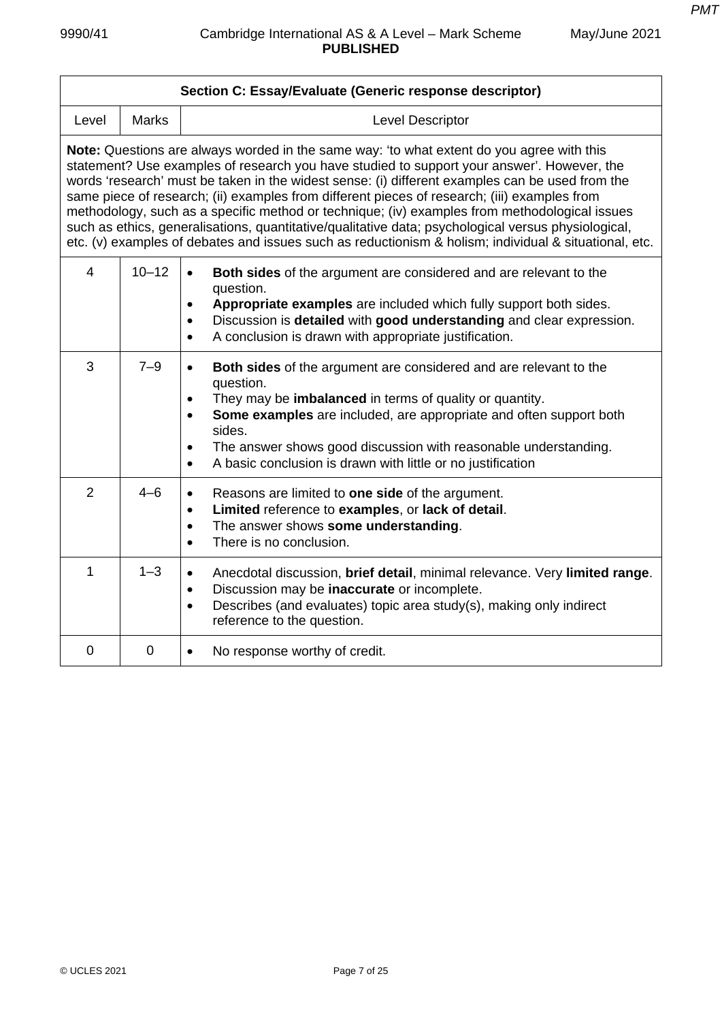|                |              | Section C: Essay/Evaluate (Generic response descriptor)                                                                                                                                                                                                                                                                                                                                                                                                                                                                                                                                                                                                                                                     |
|----------------|--------------|-------------------------------------------------------------------------------------------------------------------------------------------------------------------------------------------------------------------------------------------------------------------------------------------------------------------------------------------------------------------------------------------------------------------------------------------------------------------------------------------------------------------------------------------------------------------------------------------------------------------------------------------------------------------------------------------------------------|
| Level          | <b>Marks</b> | Level Descriptor                                                                                                                                                                                                                                                                                                                                                                                                                                                                                                                                                                                                                                                                                            |
|                |              | Note: Questions are always worded in the same way: 'to what extent do you agree with this<br>statement? Use examples of research you have studied to support your answer'. However, the<br>words 'research' must be taken in the widest sense: (i) different examples can be used from the<br>same piece of research; (ii) examples from different pieces of research; (iii) examples from<br>methodology, such as a specific method or technique; (iv) examples from methodological issues<br>such as ethics, generalisations, quantitative/qualitative data; psychological versus physiological,<br>etc. (v) examples of debates and issues such as reductionism & holism; individual & situational, etc. |
| $\overline{4}$ | $10 - 12$    | Both sides of the argument are considered and are relevant to the<br>$\bullet$<br>question.<br>Appropriate examples are included which fully support both sides.<br>$\bullet$<br>Discussion is detailed with good understanding and clear expression.<br>$\bullet$<br>A conclusion is drawn with appropriate justification.<br>$\bullet$                                                                                                                                                                                                                                                                                                                                                                    |
| 3              | $7 - 9$      | <b>Both sides</b> of the argument are considered and are relevant to the<br>$\bullet$<br>question.<br>They may be <b>imbalanced</b> in terms of quality or quantity.<br>Some examples are included, are appropriate and often support both<br>sides.<br>The answer shows good discussion with reasonable understanding.<br>A basic conclusion is drawn with little or no justification                                                                                                                                                                                                                                                                                                                      |
| $\overline{2}$ | $4 - 6$      | Reasons are limited to one side of the argument.<br>$\bullet$<br>Limited reference to examples, or lack of detail.<br>$\bullet$<br>The answer shows some understanding.<br>$\bullet$<br>There is no conclusion.<br>$\bullet$                                                                                                                                                                                                                                                                                                                                                                                                                                                                                |
| 1              | $1 - 3$      | Anecdotal discussion, brief detail, minimal relevance. Very limited range.<br>$\bullet$<br>Discussion may be inaccurate or incomplete.<br>$\bullet$<br>Describes (and evaluates) topic area study(s), making only indirect<br>$\bullet$<br>reference to the question.                                                                                                                                                                                                                                                                                                                                                                                                                                       |
| 0              | 0            | No response worthy of credit.<br>$\bullet$                                                                                                                                                                                                                                                                                                                                                                                                                                                                                                                                                                                                                                                                  |
|                |              |                                                                                                                                                                                                                                                                                                                                                                                                                                                                                                                                                                                                                                                                                                             |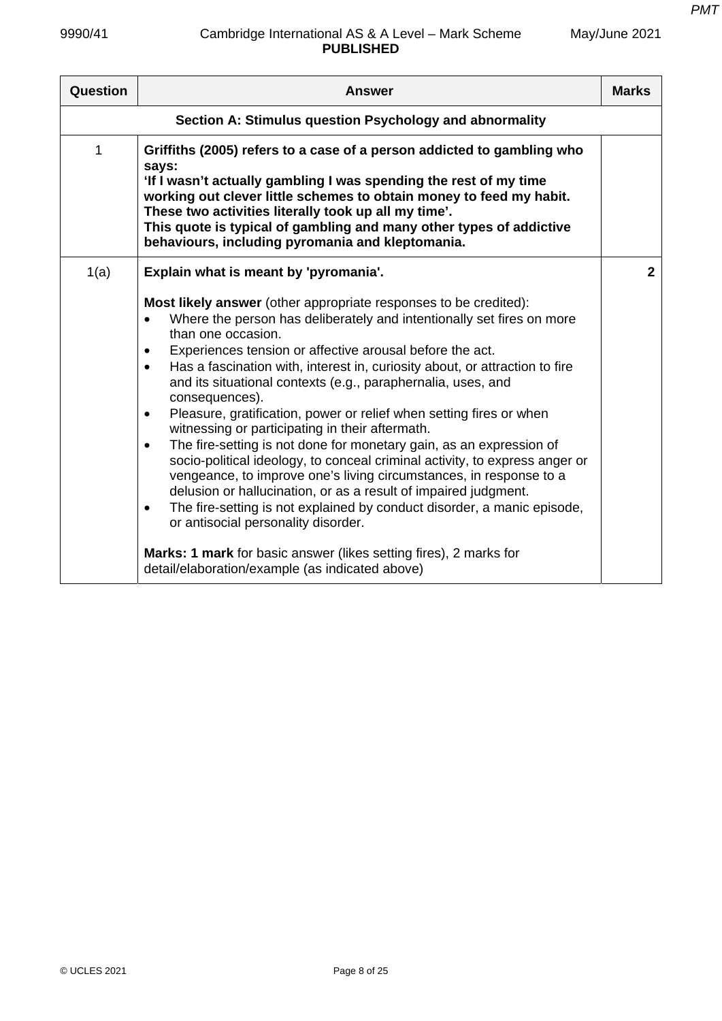| Question | <b>Answer</b>                                                                                                                                                                                                                                                                                                                                                                                                                                                                                                                                                                                                                                                                                                                                                                                                                                                                                                                                                                                                                                                                                                                     | <b>Marks</b> |  |  |
|----------|-----------------------------------------------------------------------------------------------------------------------------------------------------------------------------------------------------------------------------------------------------------------------------------------------------------------------------------------------------------------------------------------------------------------------------------------------------------------------------------------------------------------------------------------------------------------------------------------------------------------------------------------------------------------------------------------------------------------------------------------------------------------------------------------------------------------------------------------------------------------------------------------------------------------------------------------------------------------------------------------------------------------------------------------------------------------------------------------------------------------------------------|--------------|--|--|
|          | Section A: Stimulus question Psychology and abnormality                                                                                                                                                                                                                                                                                                                                                                                                                                                                                                                                                                                                                                                                                                                                                                                                                                                                                                                                                                                                                                                                           |              |  |  |
| 1        | Griffiths (2005) refers to a case of a person addicted to gambling who<br>says:<br>'If I wasn't actually gambling I was spending the rest of my time<br>working out clever little schemes to obtain money to feed my habit.<br>These two activities literally took up all my time'.<br>This quote is typical of gambling and many other types of addictive<br>behaviours, including pyromania and kleptomania.                                                                                                                                                                                                                                                                                                                                                                                                                                                                                                                                                                                                                                                                                                                    |              |  |  |
| 1(a)     | Explain what is meant by 'pyromania'.                                                                                                                                                                                                                                                                                                                                                                                                                                                                                                                                                                                                                                                                                                                                                                                                                                                                                                                                                                                                                                                                                             | $\mathbf{2}$ |  |  |
|          | <b>Most likely answer</b> (other appropriate responses to be credited):<br>Where the person has deliberately and intentionally set fires on more<br>than one occasion.<br>Experiences tension or affective arousal before the act.<br>Has a fascination with, interest in, curiosity about, or attraction to fire<br>$\bullet$<br>and its situational contexts (e.g., paraphernalia, uses, and<br>consequences).<br>Pleasure, gratification, power or relief when setting fires or when<br>$\bullet$<br>witnessing or participating in their aftermath.<br>The fire-setting is not done for monetary gain, as an expression of<br>$\bullet$<br>socio-political ideology, to conceal criminal activity, to express anger or<br>vengeance, to improve one's living circumstances, in response to a<br>delusion or hallucination, or as a result of impaired judgment.<br>The fire-setting is not explained by conduct disorder, a manic episode,<br>$\bullet$<br>or antisocial personality disorder.<br><b>Marks: 1 mark</b> for basic answer (likes setting fires), 2 marks for<br>detail/elaboration/example (as indicated above) |              |  |  |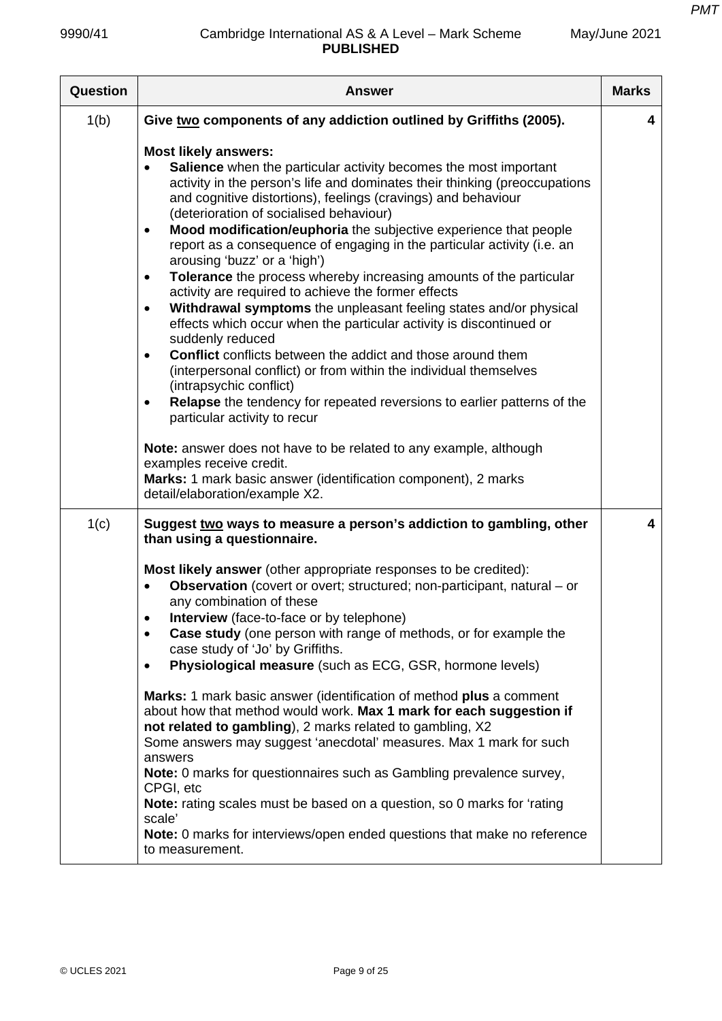| Question | <b>Answer</b>                                                                                                                                                                                                                                                                                                                                                                                                                                                                                                                                                                                                                                                                                                                                                                                                                                                                                                                                                                                                                                                                                                                                                                                                                                                                                                                | <b>Marks</b> |
|----------|------------------------------------------------------------------------------------------------------------------------------------------------------------------------------------------------------------------------------------------------------------------------------------------------------------------------------------------------------------------------------------------------------------------------------------------------------------------------------------------------------------------------------------------------------------------------------------------------------------------------------------------------------------------------------------------------------------------------------------------------------------------------------------------------------------------------------------------------------------------------------------------------------------------------------------------------------------------------------------------------------------------------------------------------------------------------------------------------------------------------------------------------------------------------------------------------------------------------------------------------------------------------------------------------------------------------------|--------------|
| 1(b)     | Give two components of any addiction outlined by Griffiths (2005).                                                                                                                                                                                                                                                                                                                                                                                                                                                                                                                                                                                                                                                                                                                                                                                                                                                                                                                                                                                                                                                                                                                                                                                                                                                           | 4            |
|          | <b>Most likely answers:</b><br>Salience when the particular activity becomes the most important<br>activity in the person's life and dominates their thinking (preoccupations<br>and cognitive distortions), feelings (cravings) and behaviour<br>(deterioration of socialised behaviour)<br>Mood modification/euphoria the subjective experience that people<br>$\bullet$<br>report as a consequence of engaging in the particular activity (i.e. an<br>arousing 'buzz' or a 'high')<br>Tolerance the process whereby increasing amounts of the particular<br>$\bullet$<br>activity are required to achieve the former effects<br>Withdrawal symptoms the unpleasant feeling states and/or physical<br>$\bullet$<br>effects which occur when the particular activity is discontinued or<br>suddenly reduced<br><b>Conflict</b> conflicts between the addict and those around them<br>$\bullet$<br>(interpersonal conflict) or from within the individual themselves<br>(intrapsychic conflict)<br>Relapse the tendency for repeated reversions to earlier patterns of the<br>$\bullet$<br>particular activity to recur<br>Note: answer does not have to be related to any example, although<br>examples receive credit.<br>Marks: 1 mark basic answer (identification component), 2 marks<br>detail/elaboration/example X2. |              |
| 1(c)     | Suggest two ways to measure a person's addiction to gambling, other<br>than using a questionnaire.<br>Most likely answer (other appropriate responses to be credited):<br><b>Observation</b> (covert or overt; structured; non-participant, natural – or<br>any combination of these<br><b>Interview</b> (face-to-face or by telephone)<br>$\bullet$<br>Case study (one person with range of methods, or for example the<br>$\bullet$<br>case study of 'Jo' by Griffiths.<br>Physiological measure (such as ECG, GSR, hormone levels)<br>$\bullet$<br>Marks: 1 mark basic answer (identification of method plus a comment<br>about how that method would work. Max 1 mark for each suggestion if<br>not related to gambling), 2 marks related to gambling, X2<br>Some answers may suggest 'anecdotal' measures. Max 1 mark for such<br>answers<br>Note: 0 marks for questionnaires such as Gambling prevalence survey,<br>CPGI, etc<br>Note: rating scales must be based on a question, so 0 marks for 'rating<br>scale'<br>Note: 0 marks for interviews/open ended questions that make no reference<br>to measurement.                                                                                                                                                                                                      | 4            |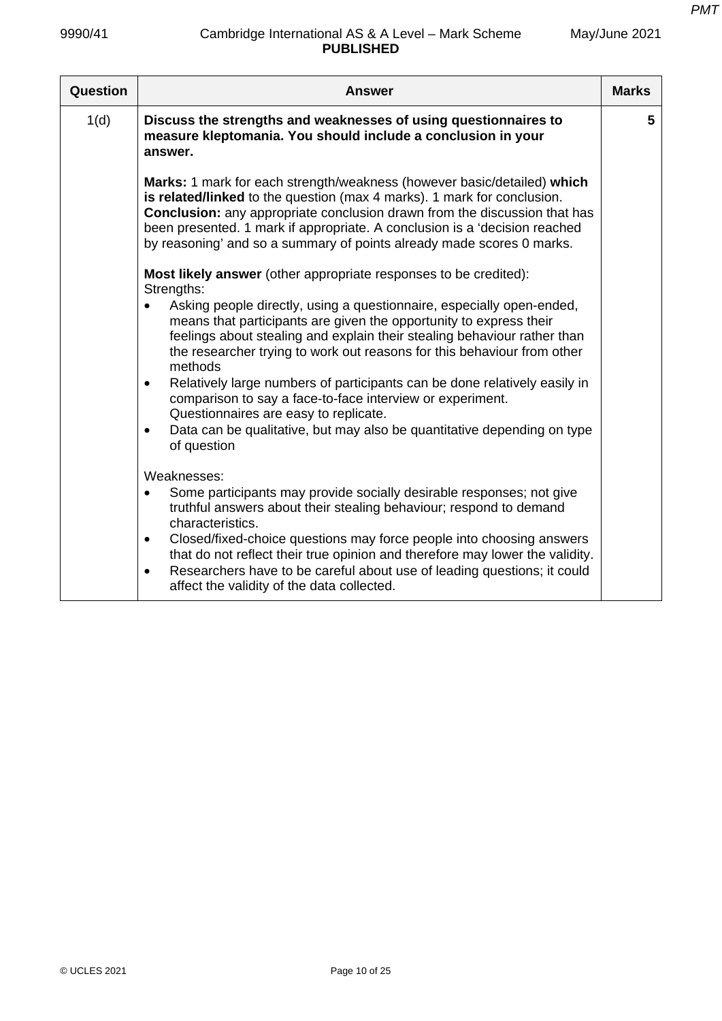| 9990/41  | Cambridge International AS & A Level - Mark Scheme<br><b>PUBLISHED</b>                                                                                                                                                                                                                                                                                                                                                                                                          | May/June 2021 |
|----------|---------------------------------------------------------------------------------------------------------------------------------------------------------------------------------------------------------------------------------------------------------------------------------------------------------------------------------------------------------------------------------------------------------------------------------------------------------------------------------|---------------|
| Question | <b>Answer</b>                                                                                                                                                                                                                                                                                                                                                                                                                                                                   | <b>Marks</b>  |
| 1(d)     | Discuss the strengths and weaknesses of using questionnaires to<br>measure kleptomania. You should include a conclusion in your<br>answer.                                                                                                                                                                                                                                                                                                                                      | 5             |
|          | <b>Marks:</b> 1 mark for each strength/weakness (however basic/detailed) which<br>is related/linked to the question (max 4 marks). 1 mark for conclusion.<br><b>Conclusion:</b> any appropriate conclusion drawn from the discussion that has<br>been presented. 1 mark if appropriate. A conclusion is a 'decision reached<br>by reasoning' and so a summary of points already made scores 0 marks.<br><b>Most likely answer</b> (other appropriate responses to be credited): |               |
|          | Strengths:                                                                                                                                                                                                                                                                                                                                                                                                                                                                      |               |

|   | Strengths:                                                                                                                                                                                                                                                                                                    |
|---|---------------------------------------------------------------------------------------------------------------------------------------------------------------------------------------------------------------------------------------------------------------------------------------------------------------|
|   | Asking people directly, using a questionnaire, especially open-ended,<br>means that participants are given the opportunity to express their<br>feelings about stealing and explain their stealing behaviour rather than<br>the researcher trying to work out reasons for this behaviour from other<br>methods |
|   | Relatively large numbers of participants can be done relatively easily in<br>comparison to say a face-to-face interview or experiment.<br>Questionnaires are easy to replicate.                                                                                                                               |
|   | Data can be qualitative, but may also be quantitative depending on type<br>of question                                                                                                                                                                                                                        |
|   | Weaknesses:                                                                                                                                                                                                                                                                                                   |
|   | Some participants may provide socially desirable responses; not give<br>truthful answers about their stealing behaviour; respond to demand<br>characteristics.                                                                                                                                                |
| ٠ | Closed/fixed-choice questions may force people into choosing answers<br>that do not reflect their true opinion and therefore may lower the validity.                                                                                                                                                          |
|   | Researchers have to be careful about use of leading questions; it could<br>affect the validity of the data collected.                                                                                                                                                                                         |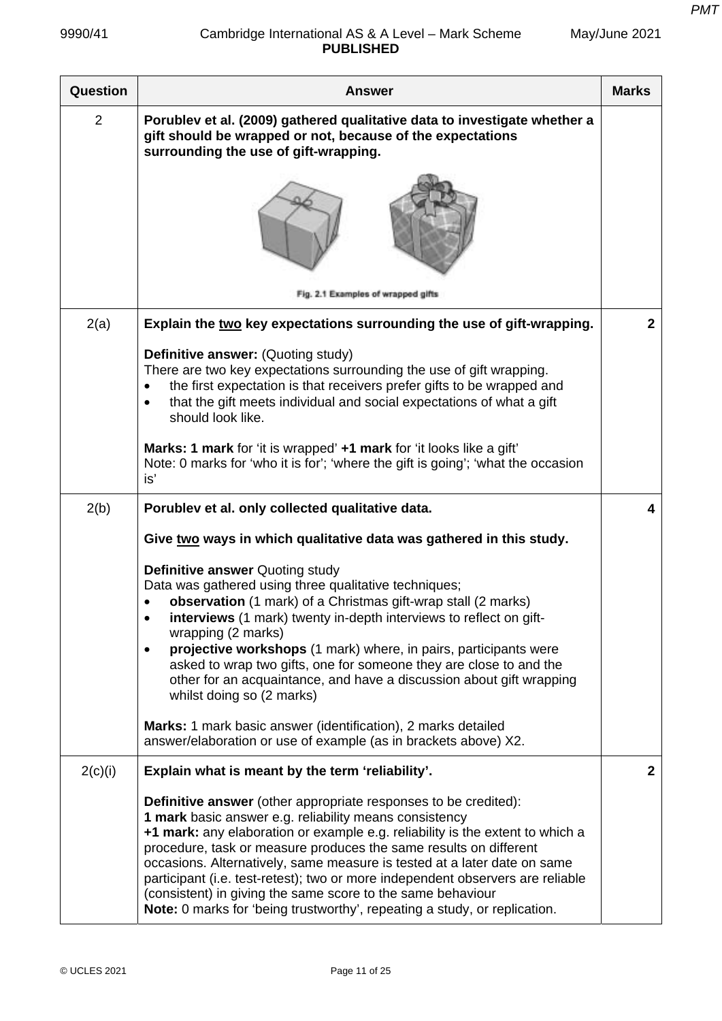| May/June 2021 |  |
|---------------|--|
|---------------|--|

| <b>Question</b> | <b>Answer</b>                                                                                                                                                                                                                                                                                                                                                                                                                                                                                                                                                                                    | <b>Marks</b> |
|-----------------|--------------------------------------------------------------------------------------------------------------------------------------------------------------------------------------------------------------------------------------------------------------------------------------------------------------------------------------------------------------------------------------------------------------------------------------------------------------------------------------------------------------------------------------------------------------------------------------------------|--------------|
| $\overline{2}$  | Porublev et al. (2009) gathered qualitative data to investigate whether a<br>gift should be wrapped or not, because of the expectations<br>surrounding the use of gift-wrapping.                                                                                                                                                                                                                                                                                                                                                                                                                 |              |
|                 |                                                                                                                                                                                                                                                                                                                                                                                                                                                                                                                                                                                                  |              |
|                 | Fig. 2.1 Examples of wrapped gifts                                                                                                                                                                                                                                                                                                                                                                                                                                                                                                                                                               |              |
| 2(a)            | Explain the two key expectations surrounding the use of gift-wrapping.                                                                                                                                                                                                                                                                                                                                                                                                                                                                                                                           | $\mathbf 2$  |
|                 | <b>Definitive answer: (Quoting study)</b><br>There are two key expectations surrounding the use of gift wrapping.<br>the first expectation is that receivers prefer gifts to be wrapped and<br>that the gift meets individual and social expectations of what a gift<br>$\bullet$<br>should look like.                                                                                                                                                                                                                                                                                           |              |
|                 | Marks: 1 mark for 'it is wrapped' +1 mark for 'it looks like a gift'<br>Note: 0 marks for 'who it is for'; 'where the gift is going'; 'what the occasion<br>is'                                                                                                                                                                                                                                                                                                                                                                                                                                  |              |
| 2(b)            | Porublev et al. only collected qualitative data.                                                                                                                                                                                                                                                                                                                                                                                                                                                                                                                                                 | 4            |
|                 | Give two ways in which qualitative data was gathered in this study.                                                                                                                                                                                                                                                                                                                                                                                                                                                                                                                              |              |
|                 | <b>Definitive answer Quoting study</b><br>Data was gathered using three qualitative techniques;<br>observation (1 mark) of a Christmas gift-wrap stall (2 marks)<br>interviews (1 mark) twenty in-depth interviews to reflect on gift-<br>wrapping (2 marks)<br>projective workshops (1 mark) where, in pairs, participants were<br>$\bullet$<br>asked to wrap two gifts, one for someone they are close to and the<br>other for an acquaintance, and have a discussion about gift wrapping<br>whilst doing so (2 marks)                                                                         |              |
|                 | Marks: 1 mark basic answer (identification), 2 marks detailed<br>answer/elaboration or use of example (as in brackets above) X2.                                                                                                                                                                                                                                                                                                                                                                                                                                                                 |              |
| 2(c)(i)         | Explain what is meant by the term 'reliability'.                                                                                                                                                                                                                                                                                                                                                                                                                                                                                                                                                 | $\mathbf{2}$ |
|                 | <b>Definitive answer</b> (other appropriate responses to be credited):<br>1 mark basic answer e.g. reliability means consistency<br>+1 mark: any elaboration or example e.g. reliability is the extent to which a<br>procedure, task or measure produces the same results on different<br>occasions. Alternatively, same measure is tested at a later date on same<br>participant (i.e. test-retest); two or more independent observers are reliable<br>(consistent) in giving the same score to the same behaviour<br>Note: 0 marks for 'being trustworthy', repeating a study, or replication. |              |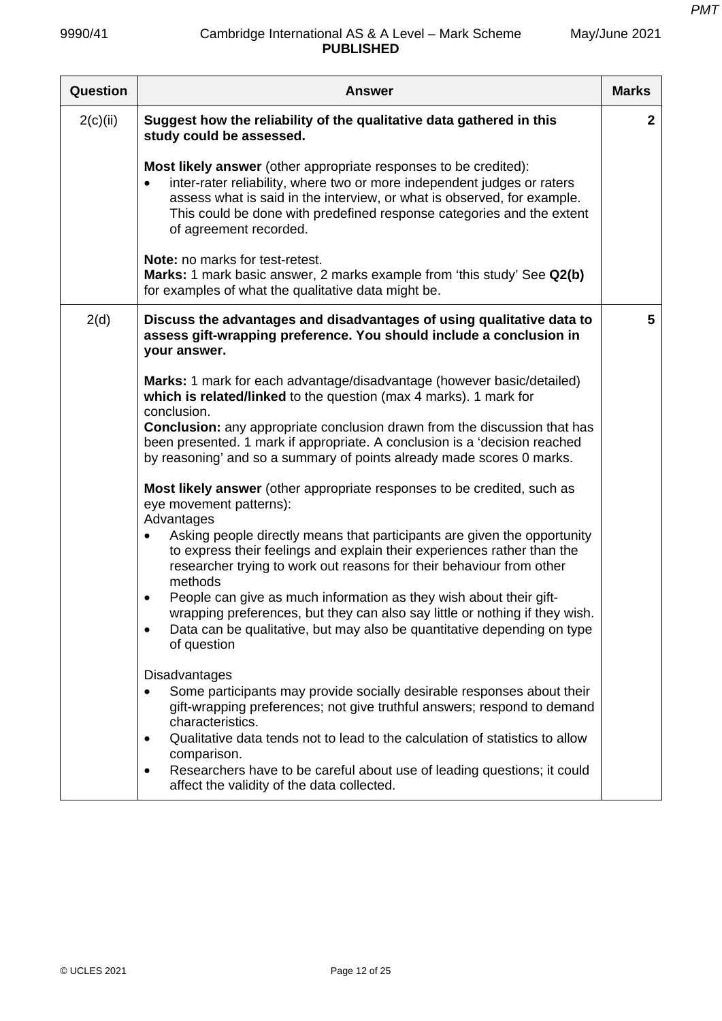| <b>Question</b> | <b>Answer</b>                                                                                                                                                                                                                                                                                                                                 | <b>Marks</b> |
|-----------------|-----------------------------------------------------------------------------------------------------------------------------------------------------------------------------------------------------------------------------------------------------------------------------------------------------------------------------------------------|--------------|
| 2(c)(ii)        | Suggest how the reliability of the qualitative data gathered in this<br>study could be assessed.                                                                                                                                                                                                                                              | $\mathbf{2}$ |
|                 | <b>Most likely answer</b> (other appropriate responses to be credited):<br>inter-rater reliability, where two or more independent judges or raters<br>$\bullet$<br>assess what is said in the interview, or what is observed, for example.<br>This could be done with predefined response categories and the extent<br>of agreement recorded. |              |
|                 | Note: no marks for test-retest.<br>Marks: 1 mark basic answer, 2 marks example from 'this study' See Q2(b)<br>for examples of what the qualitative data might be.                                                                                                                                                                             |              |
| 2(d)            | Discuss the advantages and disadvantages of using qualitative data to<br>assess gift-wrapping preference. You should include a conclusion in<br>your answer.                                                                                                                                                                                  | 5            |
|                 | Marks: 1 mark for each advantage/disadvantage (however basic/detailed)<br>which is related/linked to the question (max 4 marks). 1 mark for<br>conclusion.                                                                                                                                                                                    |              |
|                 | <b>Conclusion:</b> any appropriate conclusion drawn from the discussion that has<br>been presented. 1 mark if appropriate. A conclusion is a 'decision reached<br>by reasoning' and so a summary of points already made scores 0 marks.                                                                                                       |              |
|                 | Most likely answer (other appropriate responses to be credited, such as<br>eye movement patterns):<br>Advantages                                                                                                                                                                                                                              |              |
|                 | Asking people directly means that participants are given the opportunity<br>to express their feelings and explain their experiences rather than the<br>researcher trying to work out reasons for their behaviour from other<br>methods                                                                                                        |              |
|                 | People can give as much information as they wish about their gift-<br>٠<br>wrapping preferences, but they can also say little or nothing if they wish.<br>Data can be qualitative, but may also be quantitative depending on type<br>of question                                                                                              |              |
|                 | Disadvantages<br>Some participants may provide socially desirable responses about their<br>gift-wrapping preferences; not give truthful answers; respond to demand<br>characteristics.                                                                                                                                                        |              |
|                 | Qualitative data tends not to lead to the calculation of statistics to allow<br>٠<br>comparison.<br>Researchers have to be careful about use of leading questions; it could<br>$\bullet$<br>affect the validity of the data collected.                                                                                                        |              |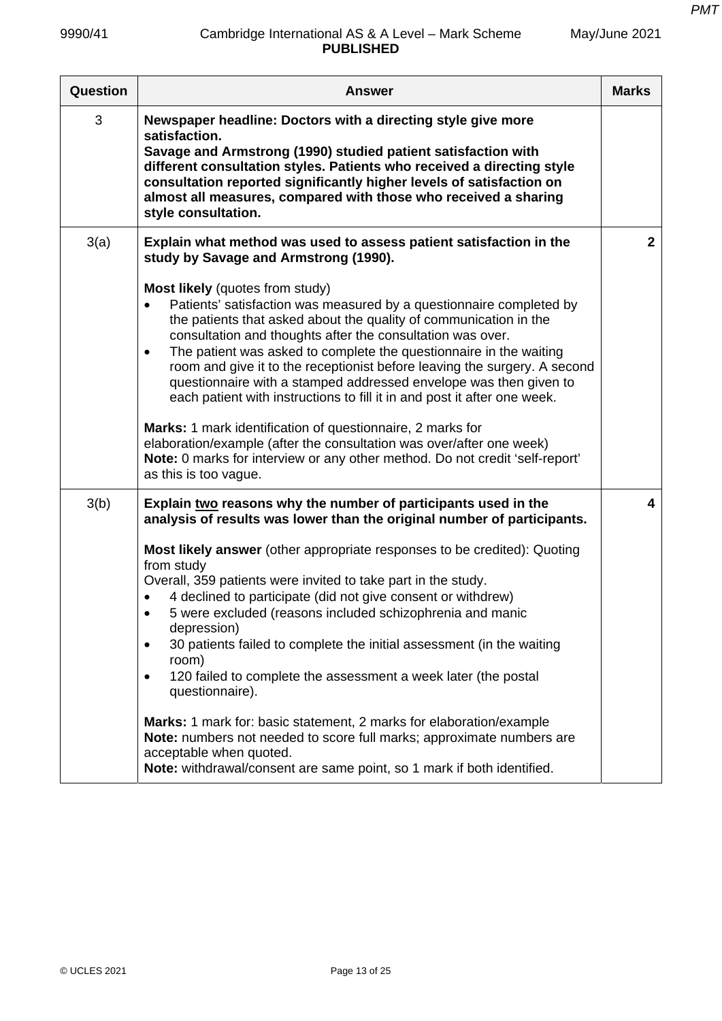| Question | <b>Answer</b>                                                                                                                                                                                                                                                                                                                                                                                                                                                                                                                                                                                                                                                                                                                                                                                                                                                                                                                                | <b>Marks</b>   |
|----------|----------------------------------------------------------------------------------------------------------------------------------------------------------------------------------------------------------------------------------------------------------------------------------------------------------------------------------------------------------------------------------------------------------------------------------------------------------------------------------------------------------------------------------------------------------------------------------------------------------------------------------------------------------------------------------------------------------------------------------------------------------------------------------------------------------------------------------------------------------------------------------------------------------------------------------------------|----------------|
| 3        | Newspaper headline: Doctors with a directing style give more<br>satisfaction.<br>Savage and Armstrong (1990) studied patient satisfaction with<br>different consultation styles. Patients who received a directing style<br>consultation reported significantly higher levels of satisfaction on<br>almost all measures, compared with those who received a sharing<br>style consultation.                                                                                                                                                                                                                                                                                                                                                                                                                                                                                                                                                   |                |
| 3(a)     | Explain what method was used to assess patient satisfaction in the<br>study by Savage and Armstrong (1990).<br><b>Most likely</b> (quotes from study)<br>Patients' satisfaction was measured by a questionnaire completed by<br>$\bullet$<br>the patients that asked about the quality of communication in the<br>consultation and thoughts after the consultation was over.<br>The patient was asked to complete the questionnaire in the waiting<br>$\bullet$<br>room and give it to the receptionist before leaving the surgery. A second<br>questionnaire with a stamped addressed envelope was then given to<br>each patient with instructions to fill it in and post it after one week.<br>Marks: 1 mark identification of questionnaire, 2 marks for<br>elaboration/example (after the consultation was over/after one week)<br>Note: 0 marks for interview or any other method. Do not credit 'self-report'<br>as this is too vague. | $\overline{2}$ |
| 3(b)     | Explain two reasons why the number of participants used in the<br>analysis of results was lower than the original number of participants.<br>Most likely answer (other appropriate responses to be credited): Quoting<br>from study<br>Overall, 359 patients were invited to take part in the study.<br>4 declined to participate (did not give consent or withdrew)<br>5 were excluded (reasons included schizophrenia and manic<br>$\bullet$<br>depression)<br>30 patients failed to complete the initial assessment (in the waiting<br>$\bullet$<br>room)<br>120 failed to complete the assessment a week later (the postal<br>$\bullet$<br>questionnaire).<br>Marks: 1 mark for: basic statement, 2 marks for elaboration/example<br>Note: numbers not needed to score full marks; approximate numbers are<br>acceptable when quoted.<br>Note: withdrawal/consent are same point, so 1 mark if both identified.                          | 4              |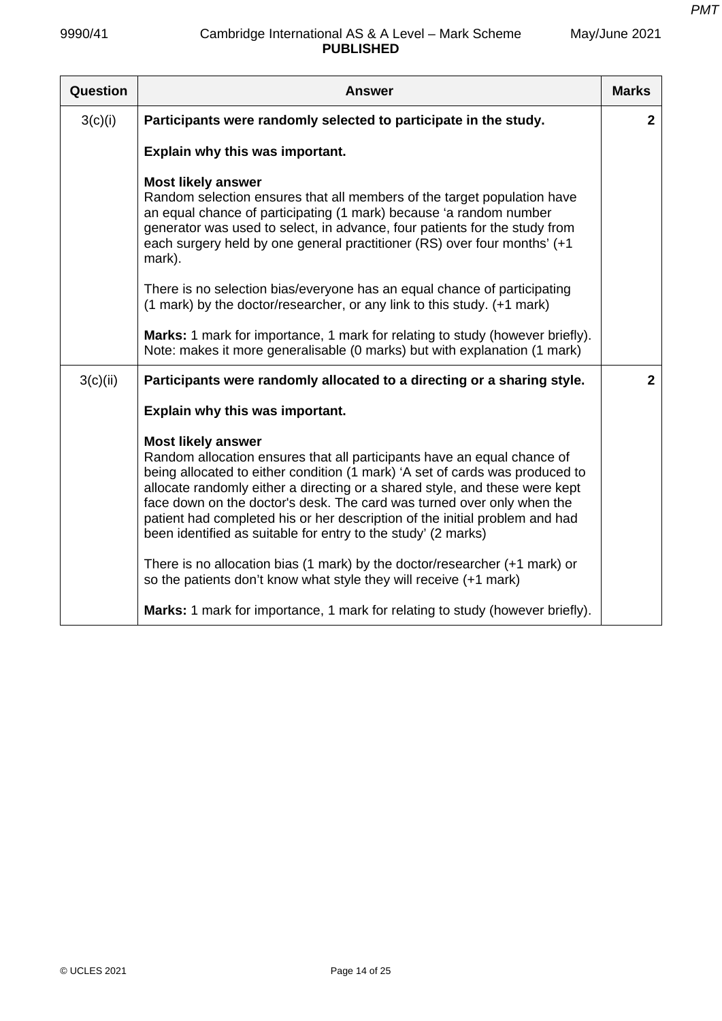| Question | <b>Answer</b>                                                                                                                                                                                                                                                                                                                                                                                                                                                                                 | <b>Marks</b>   |
|----------|-----------------------------------------------------------------------------------------------------------------------------------------------------------------------------------------------------------------------------------------------------------------------------------------------------------------------------------------------------------------------------------------------------------------------------------------------------------------------------------------------|----------------|
| 3(c)(i)  | Participants were randomly selected to participate in the study.                                                                                                                                                                                                                                                                                                                                                                                                                              | $\mathbf{2}$   |
|          | Explain why this was important.                                                                                                                                                                                                                                                                                                                                                                                                                                                               |                |
|          | <b>Most likely answer</b><br>Random selection ensures that all members of the target population have<br>an equal chance of participating (1 mark) because 'a random number<br>generator was used to select, in advance, four patients for the study from<br>each surgery held by one general practitioner (RS) over four months' (+1<br>mark).                                                                                                                                                |                |
|          | There is no selection bias/everyone has an equal chance of participating<br>(1 mark) by the doctor/researcher, or any link to this study. (+1 mark)                                                                                                                                                                                                                                                                                                                                           |                |
|          | <b>Marks:</b> 1 mark for importance, 1 mark for relating to study (however briefly).<br>Note: makes it more generalisable (0 marks) but with explanation (1 mark)                                                                                                                                                                                                                                                                                                                             |                |
| 3(c)(ii) | Participants were randomly allocated to a directing or a sharing style.                                                                                                                                                                                                                                                                                                                                                                                                                       | $\overline{2}$ |
|          | Explain why this was important.                                                                                                                                                                                                                                                                                                                                                                                                                                                               |                |
|          | <b>Most likely answer</b><br>Random allocation ensures that all participants have an equal chance of<br>being allocated to either condition (1 mark) 'A set of cards was produced to<br>allocate randomly either a directing or a shared style, and these were kept<br>face down on the doctor's desk. The card was turned over only when the<br>patient had completed his or her description of the initial problem and had<br>been identified as suitable for entry to the study' (2 marks) |                |
|          | There is no allocation bias (1 mark) by the doctor/researcher $(+1$ mark) or<br>so the patients don't know what style they will receive (+1 mark)                                                                                                                                                                                                                                                                                                                                             |                |
|          | Marks: 1 mark for importance, 1 mark for relating to study (however briefly).                                                                                                                                                                                                                                                                                                                                                                                                                 |                |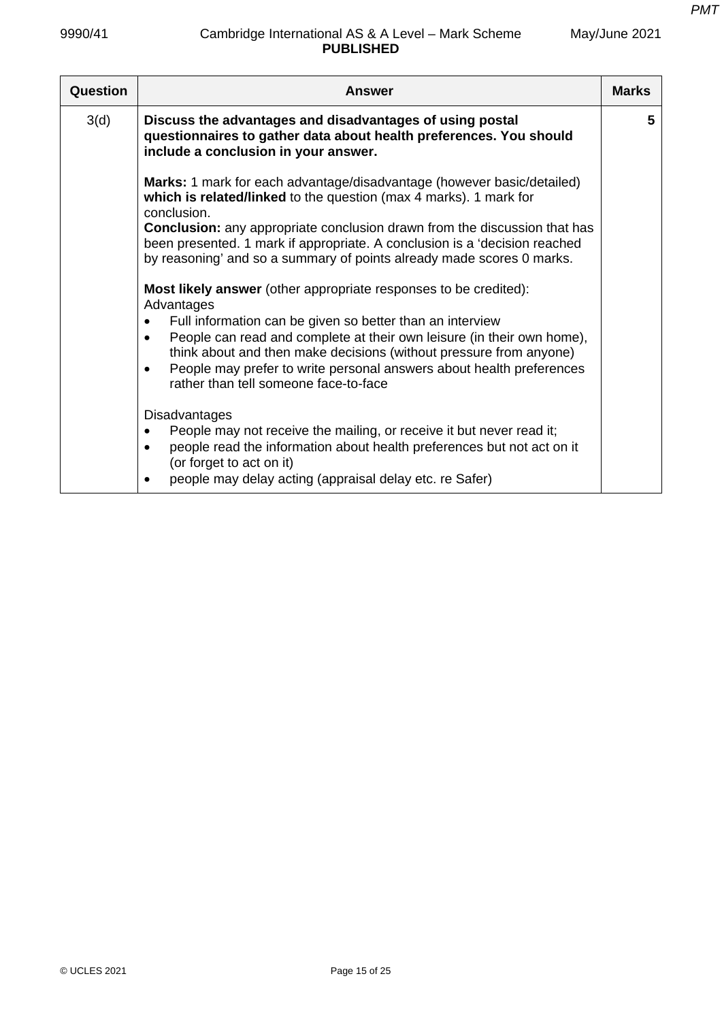| Question | Answer                                                                                                                                                                                                                                                                                                                                                                                                                                                     | <b>Marks</b> |
|----------|------------------------------------------------------------------------------------------------------------------------------------------------------------------------------------------------------------------------------------------------------------------------------------------------------------------------------------------------------------------------------------------------------------------------------------------------------------|--------------|
| 3(d)     | Discuss the advantages and disadvantages of using postal<br>questionnaires to gather data about health preferences. You should<br>include a conclusion in your answer.                                                                                                                                                                                                                                                                                     | 5            |
|          | Marks: 1 mark for each advantage/disadvantage (however basic/detailed)<br>which is related/linked to the question (max 4 marks). 1 mark for<br>conclusion.<br><b>Conclusion:</b> any appropriate conclusion drawn from the discussion that has<br>been presented. 1 mark if appropriate. A conclusion is a 'decision reached<br>by reasoning' and so a summary of points already made scores 0 marks.                                                      |              |
|          | <b>Most likely answer</b> (other appropriate responses to be credited):<br>Advantages<br>Full information can be given so better than an interview<br>$\bullet$<br>People can read and complete at their own leisure (in their own home),<br>$\bullet$<br>think about and then make decisions (without pressure from anyone)<br>People may prefer to write personal answers about health preferences<br>$\bullet$<br>rather than tell someone face-to-face |              |
|          | <b>Disadvantages</b><br>People may not receive the mailing, or receive it but never read it;<br>$\bullet$<br>people read the information about health preferences but not act on it<br>$\bullet$<br>(or forget to act on it)<br>people may delay acting (appraisal delay etc. re Safer)<br>$\bullet$                                                                                                                                                       |              |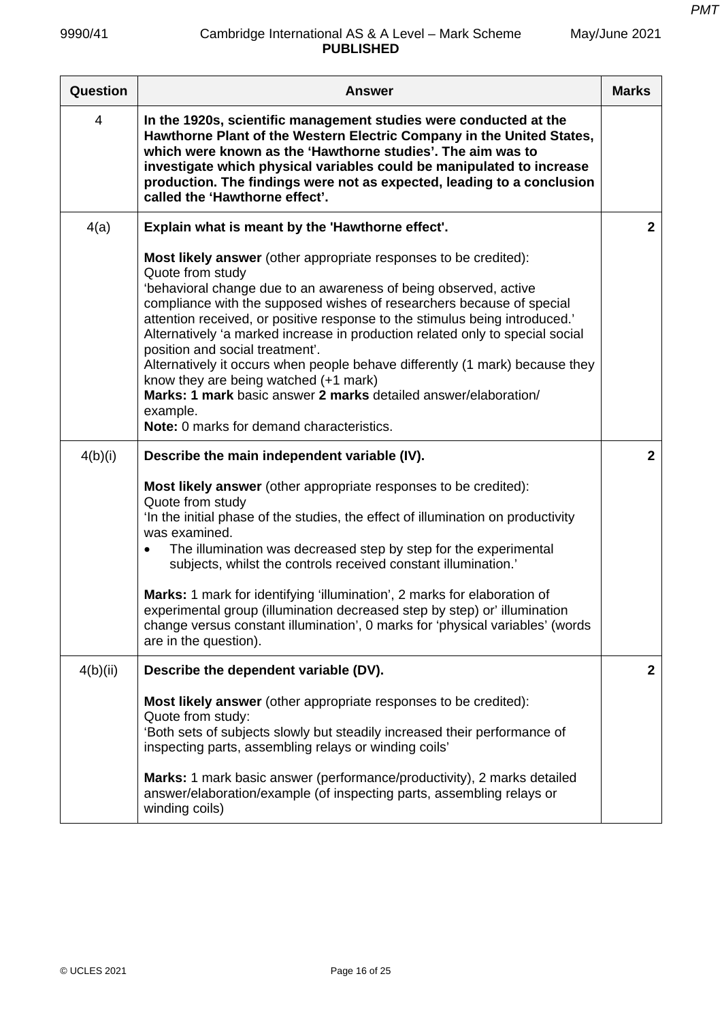| Question       | <b>Answer</b>                                                                                                                                                                                                                                                                                                                                                                                                                                                                                                                                                                                                                                                                                    | <b>Marks</b>   |
|----------------|--------------------------------------------------------------------------------------------------------------------------------------------------------------------------------------------------------------------------------------------------------------------------------------------------------------------------------------------------------------------------------------------------------------------------------------------------------------------------------------------------------------------------------------------------------------------------------------------------------------------------------------------------------------------------------------------------|----------------|
| $\overline{4}$ | In the 1920s, scientific management studies were conducted at the<br>Hawthorne Plant of the Western Electric Company in the United States,<br>which were known as the 'Hawthorne studies'. The aim was to<br>investigate which physical variables could be manipulated to increase<br>production. The findings were not as expected, leading to a conclusion<br>called the 'Hawthorne effect'.                                                                                                                                                                                                                                                                                                   |                |
| 4(a)           | Explain what is meant by the 'Hawthorne effect'.                                                                                                                                                                                                                                                                                                                                                                                                                                                                                                                                                                                                                                                 | $\mathbf{2}$   |
|                | <b>Most likely answer</b> (other appropriate responses to be credited):<br>Quote from study<br>'behavioral change due to an awareness of being observed, active<br>compliance with the supposed wishes of researchers because of special<br>attention received, or positive response to the stimulus being introduced.'<br>Alternatively 'a marked increase in production related only to special social<br>position and social treatment'.<br>Alternatively it occurs when people behave differently (1 mark) because they<br>know they are being watched (+1 mark)<br>Marks: 1 mark basic answer 2 marks detailed answer/elaboration/<br>example.<br>Note: 0 marks for demand characteristics. |                |
| 4(b)(i)        | Describe the main independent variable (IV).                                                                                                                                                                                                                                                                                                                                                                                                                                                                                                                                                                                                                                                     | $\overline{2}$ |
|                | Most likely answer (other appropriate responses to be credited):<br>Quote from study<br>In the initial phase of the studies, the effect of illumination on productivity<br>was examined.<br>The illumination was decreased step by step for the experimental<br>subjects, whilst the controls received constant illumination.'<br>Marks: 1 mark for identifying 'illumination', 2 marks for elaboration of<br>experimental group (illumination decreased step by step) or' illumination<br>change versus constant illumination', 0 marks for 'physical variables' (words<br>are in the question).                                                                                                |                |
| 4(b)(ii)       | Describe the dependent variable (DV).                                                                                                                                                                                                                                                                                                                                                                                                                                                                                                                                                                                                                                                            | $\mathbf{2}$   |
|                | <b>Most likely answer</b> (other appropriate responses to be credited):<br>Quote from study:<br>'Both sets of subjects slowly but steadily increased their performance of<br>inspecting parts, assembling relays or winding coils'<br>Marks: 1 mark basic answer (performance/productivity), 2 marks detailed<br>answer/elaboration/example (of inspecting parts, assembling relays or<br>winding coils)                                                                                                                                                                                                                                                                                         |                |
|                |                                                                                                                                                                                                                                                                                                                                                                                                                                                                                                                                                                                                                                                                                                  |                |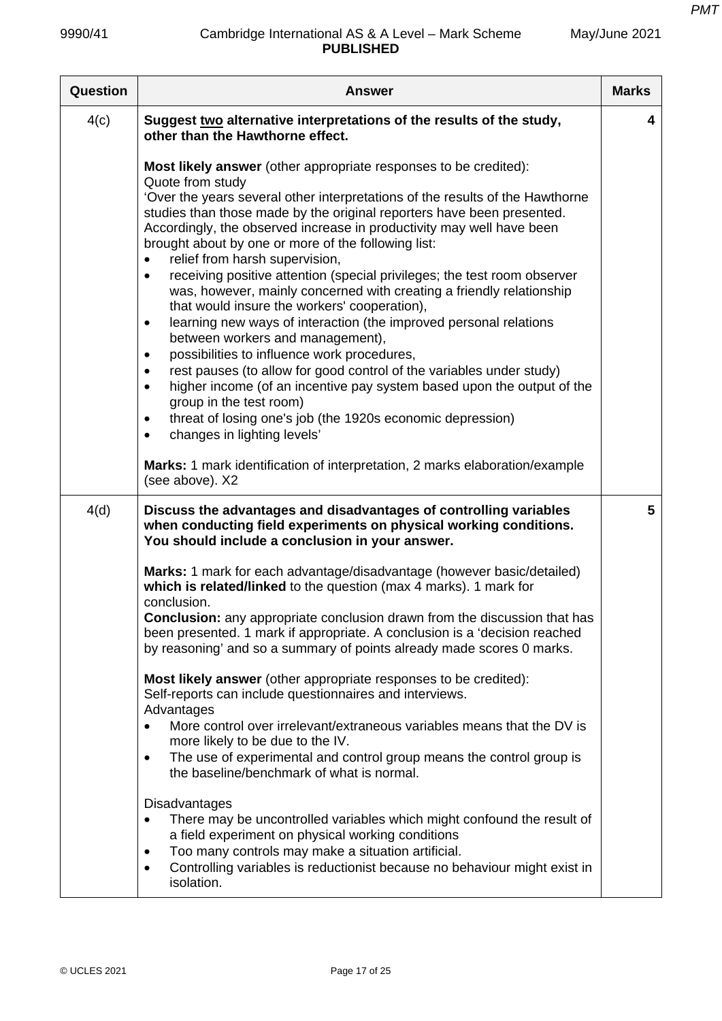| Question | <b>Answer</b>                                                                                                                                                                                                                                                                                                                                                                                                                                                                                                                                                                                                                                                                                                                                                                                                                                                                                                                                                                                                                                                                                                                                                   | <b>Marks</b> |
|----------|-----------------------------------------------------------------------------------------------------------------------------------------------------------------------------------------------------------------------------------------------------------------------------------------------------------------------------------------------------------------------------------------------------------------------------------------------------------------------------------------------------------------------------------------------------------------------------------------------------------------------------------------------------------------------------------------------------------------------------------------------------------------------------------------------------------------------------------------------------------------------------------------------------------------------------------------------------------------------------------------------------------------------------------------------------------------------------------------------------------------------------------------------------------------|--------------|
| 4(c)     | Suggest two alternative interpretations of the results of the study,<br>other than the Hawthorne effect.                                                                                                                                                                                                                                                                                                                                                                                                                                                                                                                                                                                                                                                                                                                                                                                                                                                                                                                                                                                                                                                        | 4            |
|          | Most likely answer (other appropriate responses to be credited):<br>Quote from study<br>'Over the years several other interpretations of the results of the Hawthorne<br>studies than those made by the original reporters have been presented.<br>Accordingly, the observed increase in productivity may well have been<br>brought about by one or more of the following list:<br>relief from harsh supervision,<br>$\bullet$<br>receiving positive attention (special privileges; the test room observer<br>$\bullet$<br>was, however, mainly concerned with creating a friendly relationship<br>that would insure the workers' cooperation),<br>learning new ways of interaction (the improved personal relations<br>$\bullet$<br>between workers and management),<br>possibilities to influence work procedures,<br>$\bullet$<br>rest pauses (to allow for good control of the variables under study)<br>$\bullet$<br>higher income (of an incentive pay system based upon the output of the<br>$\bullet$<br>group in the test room)<br>threat of losing one's job (the 1920s economic depression)<br>$\bullet$<br>changes in lighting levels'<br>$\bullet$ |              |
|          | Marks: 1 mark identification of interpretation, 2 marks elaboration/example<br>(see above). X2                                                                                                                                                                                                                                                                                                                                                                                                                                                                                                                                                                                                                                                                                                                                                                                                                                                                                                                                                                                                                                                                  |              |
| 4(d)     | Discuss the advantages and disadvantages of controlling variables<br>when conducting field experiments on physical working conditions.<br>You should include a conclusion in your answer.                                                                                                                                                                                                                                                                                                                                                                                                                                                                                                                                                                                                                                                                                                                                                                                                                                                                                                                                                                       | 5            |
|          | Marks: 1 mark for each advantage/disadvantage (however basic/detailed)<br>which is related/linked to the question (max 4 marks). 1 mark for<br>conclusion.<br><b>Conclusion:</b> any appropriate conclusion drawn from the discussion that has<br>been presented. 1 mark if appropriate. A conclusion is a 'decision reached<br>by reasoning' and so a summary of points already made scores 0 marks.<br>Most likely answer (other appropriate responses to be credited):<br>Self-reports can include questionnaires and interviews.<br>Advantages<br>More control over irrelevant/extraneous variables means that the DV is<br>$\bullet$<br>more likely to be due to the IV.                                                                                                                                                                                                                                                                                                                                                                                                                                                                                   |              |
|          | The use of experimental and control group means the control group is<br>$\bullet$<br>the baseline/benchmark of what is normal.                                                                                                                                                                                                                                                                                                                                                                                                                                                                                                                                                                                                                                                                                                                                                                                                                                                                                                                                                                                                                                  |              |
|          | <b>Disadvantages</b><br>There may be uncontrolled variables which might confound the result of<br>$\bullet$<br>a field experiment on physical working conditions<br>Too many controls may make a situation artificial.<br>٠<br>Controlling variables is reductionist because no behaviour might exist in<br>$\bullet$<br>isolation.                                                                                                                                                                                                                                                                                                                                                                                                                                                                                                                                                                                                                                                                                                                                                                                                                             |              |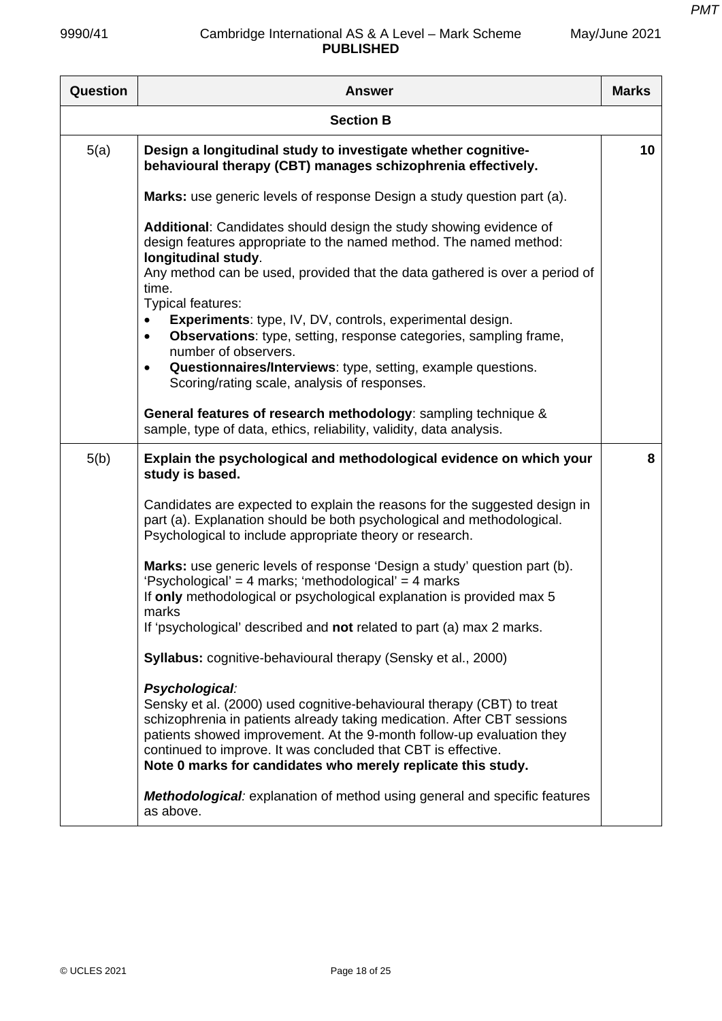*PMT*

| May/June 2021 |  |
|---------------|--|
|---------------|--|

| <b>Question</b>  | <b>Answer</b>                                                                                                                                                                                                                                                                                                                                                                 | <b>Marks</b> |
|------------------|-------------------------------------------------------------------------------------------------------------------------------------------------------------------------------------------------------------------------------------------------------------------------------------------------------------------------------------------------------------------------------|--------------|
| <b>Section B</b> |                                                                                                                                                                                                                                                                                                                                                                               |              |
| 5(a)             | Design a longitudinal study to investigate whether cognitive-<br>behavioural therapy (CBT) manages schizophrenia effectively.                                                                                                                                                                                                                                                 | 10           |
|                  | Marks: use generic levels of response Design a study question part (a).                                                                                                                                                                                                                                                                                                       |              |
|                  | Additional: Candidates should design the study showing evidence of<br>design features appropriate to the named method. The named method:<br>longitudinal study.<br>Any method can be used, provided that the data gathered is over a period of<br>time.<br>Typical features:                                                                                                  |              |
|                  | <b>Experiments:</b> type, IV, DV, controls, experimental design.<br><b>Observations:</b> type, setting, response categories, sampling frame,<br>number of observers.<br>Questionnaires/Interviews: type, setting, example questions.<br>$\bullet$<br>Scoring/rating scale, analysis of responses.                                                                             |              |
|                  | General features of research methodology: sampling technique &<br>sample, type of data, ethics, reliability, validity, data analysis.                                                                                                                                                                                                                                         |              |
| 5(b)             | Explain the psychological and methodological evidence on which your<br>study is based.                                                                                                                                                                                                                                                                                        | 8            |
|                  | Candidates are expected to explain the reasons for the suggested design in<br>part (a). Explanation should be both psychological and methodological.<br>Psychological to include appropriate theory or research.                                                                                                                                                              |              |
|                  | Marks: use generic levels of response 'Design a study' question part (b).<br>'Psychological' = 4 marks; 'methodological' = 4 marks<br>If only methodological or psychological explanation is provided max 5<br>marks                                                                                                                                                          |              |
|                  | If 'psychological' described and not related to part (a) max 2 marks.                                                                                                                                                                                                                                                                                                         |              |
|                  | <b>Syllabus:</b> cognitive-behavioural therapy (Sensky et al., 2000)                                                                                                                                                                                                                                                                                                          |              |
|                  | Psychological:<br>Sensky et al. (2000) used cognitive-behavioural therapy (CBT) to treat<br>schizophrenia in patients already taking medication. After CBT sessions<br>patients showed improvement. At the 9-month follow-up evaluation they<br>continued to improve. It was concluded that CBT is effective.<br>Note 0 marks for candidates who merely replicate this study. |              |
|                  | <b>Methodological:</b> explanation of method using general and specific features<br>as above.                                                                                                                                                                                                                                                                                 |              |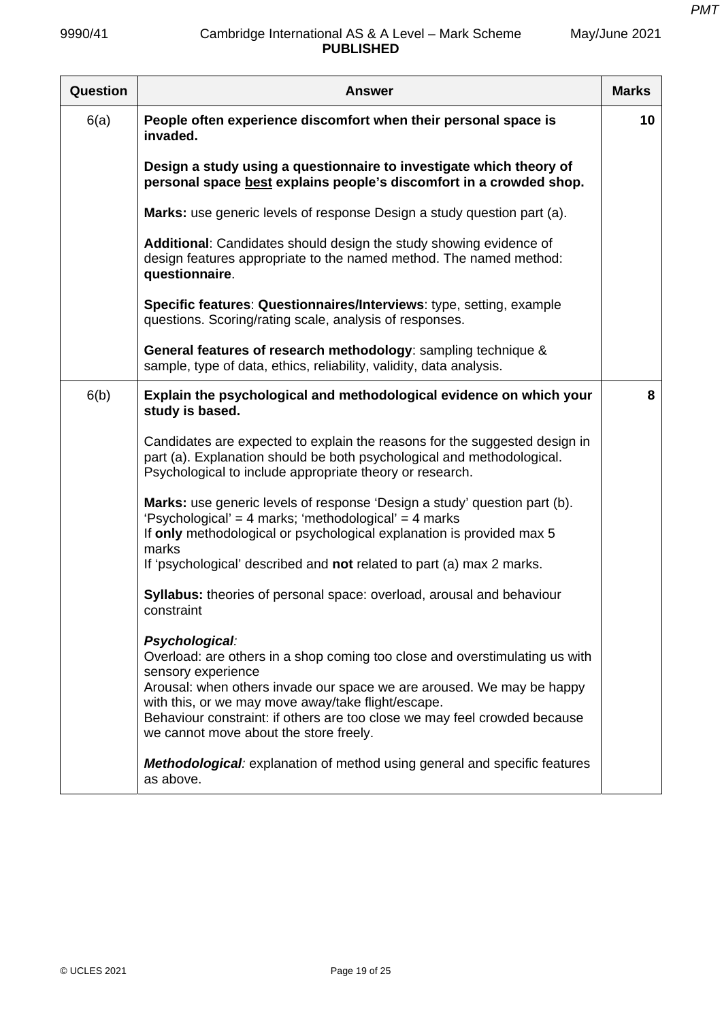| Question | <b>Answer</b>                                                                                                                                                                                                                                      | <b>Marks</b> |
|----------|----------------------------------------------------------------------------------------------------------------------------------------------------------------------------------------------------------------------------------------------------|--------------|
| 6(a)     | People often experience discomfort when their personal space is<br>invaded.                                                                                                                                                                        | 10           |
|          | Design a study using a questionnaire to investigate which theory of<br>personal space best explains people's discomfort in a crowded shop.                                                                                                         |              |
|          | Marks: use generic levels of response Design a study question part (a).                                                                                                                                                                            |              |
|          | Additional: Candidates should design the study showing evidence of<br>design features appropriate to the named method. The named method:<br>questionnaire.                                                                                         |              |
|          | Specific features: Questionnaires/Interviews: type, setting, example<br>questions. Scoring/rating scale, analysis of responses.                                                                                                                    |              |
|          | General features of research methodology: sampling technique &<br>sample, type of data, ethics, reliability, validity, data analysis.                                                                                                              |              |
| 6(b)     | Explain the psychological and methodological evidence on which your<br>study is based.                                                                                                                                                             | 8            |
|          | Candidates are expected to explain the reasons for the suggested design in<br>part (a). Explanation should be both psychological and methodological.<br>Psychological to include appropriate theory or research.                                   |              |
|          | Marks: use generic levels of response 'Design a study' question part (b).<br>'Psychological' = 4 marks; 'methodological' = 4 marks<br>If only methodological or psychological explanation is provided max 5<br>marks                               |              |
|          | If 'psychological' described and not related to part (a) max 2 marks.                                                                                                                                                                              |              |
|          | Syllabus: theories of personal space: overload, arousal and behaviour<br>constraint                                                                                                                                                                |              |
|          | Psychological:<br>Overload: are others in a shop coming too close and overstimulating us with<br>sensory experience                                                                                                                                |              |
|          | Arousal: when others invade our space we are aroused. We may be happy<br>with this, or we may move away/take flight/escape.<br>Behaviour constraint: if others are too close we may feel crowded because<br>we cannot move about the store freely. |              |
|          | <b>Methodological:</b> explanation of method using general and specific features<br>as above.                                                                                                                                                      |              |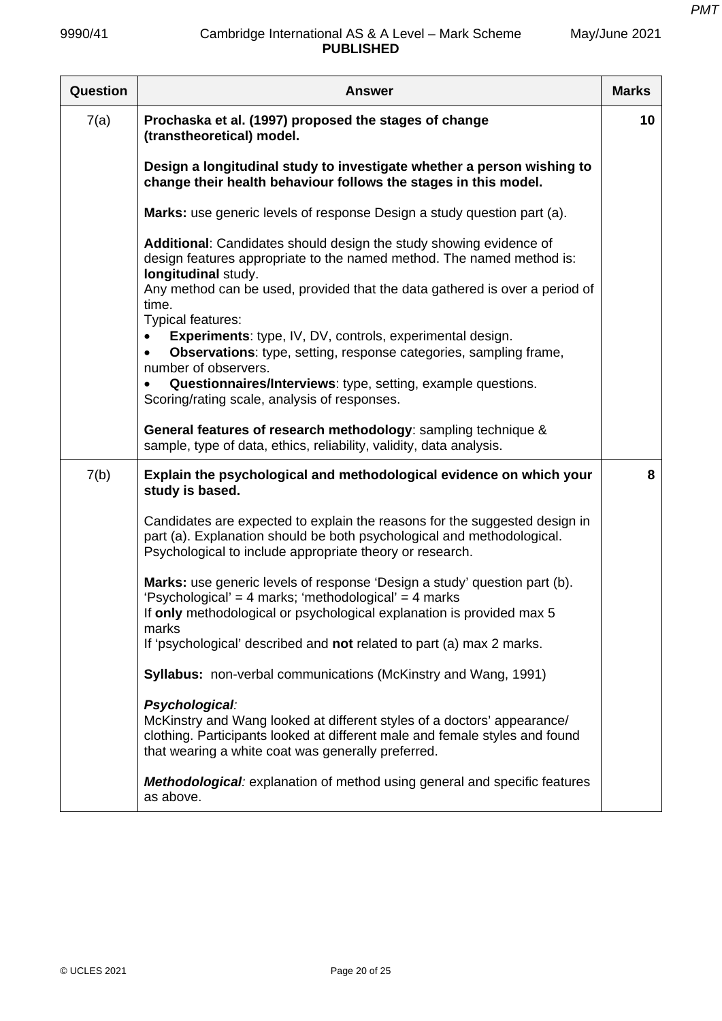| <b>Question</b> | <b>Answer</b>                                                                                                                                                                                                                                                                                      | <b>Marks</b> |
|-----------------|----------------------------------------------------------------------------------------------------------------------------------------------------------------------------------------------------------------------------------------------------------------------------------------------------|--------------|
| 7(a)            | Prochaska et al. (1997) proposed the stages of change<br>(transtheoretical) model.                                                                                                                                                                                                                 | 10           |
|                 | Design a longitudinal study to investigate whether a person wishing to<br>change their health behaviour follows the stages in this model.                                                                                                                                                          |              |
|                 | <b>Marks:</b> use generic levels of response Design a study question part (a).                                                                                                                                                                                                                     |              |
|                 | Additional: Candidates should design the study showing evidence of<br>design features appropriate to the named method. The named method is:<br>longitudinal study.<br>Any method can be used, provided that the data gathered is over a period of<br>time.                                         |              |
|                 | Typical features:<br>Experiments: type, IV, DV, controls, experimental design.<br><b>Observations:</b> type, setting, response categories, sampling frame,<br>number of observers.<br>Questionnaires/Interviews: type, setting, example questions.<br>Scoring/rating scale, analysis of responses. |              |
|                 | General features of research methodology: sampling technique &<br>sample, type of data, ethics, reliability, validity, data analysis.                                                                                                                                                              |              |
| 7(b)            | Explain the psychological and methodological evidence on which your<br>study is based.                                                                                                                                                                                                             | 8            |
|                 | Candidates are expected to explain the reasons for the suggested design in<br>part (a). Explanation should be both psychological and methodological.<br>Psychological to include appropriate theory or research.                                                                                   |              |
|                 | Marks: use generic levels of response 'Design a study' question part (b).<br>'Psychological' = 4 marks; 'methodological' = 4 marks                                                                                                                                                                 |              |
|                 | If only methodological or psychological explanation is provided max 5<br>marks                                                                                                                                                                                                                     |              |
|                 | If 'psychological' described and not related to part (a) max 2 marks.                                                                                                                                                                                                                              |              |
|                 | <b>Syllabus:</b> non-verbal communications (McKinstry and Wang, 1991)                                                                                                                                                                                                                              |              |
|                 | Psychological:<br>McKinstry and Wang looked at different styles of a doctors' appearance/<br>clothing. Participants looked at different male and female styles and found<br>that wearing a white coat was generally preferred.                                                                     |              |
|                 | <b>Methodological:</b> explanation of method using general and specific features<br>as above.                                                                                                                                                                                                      |              |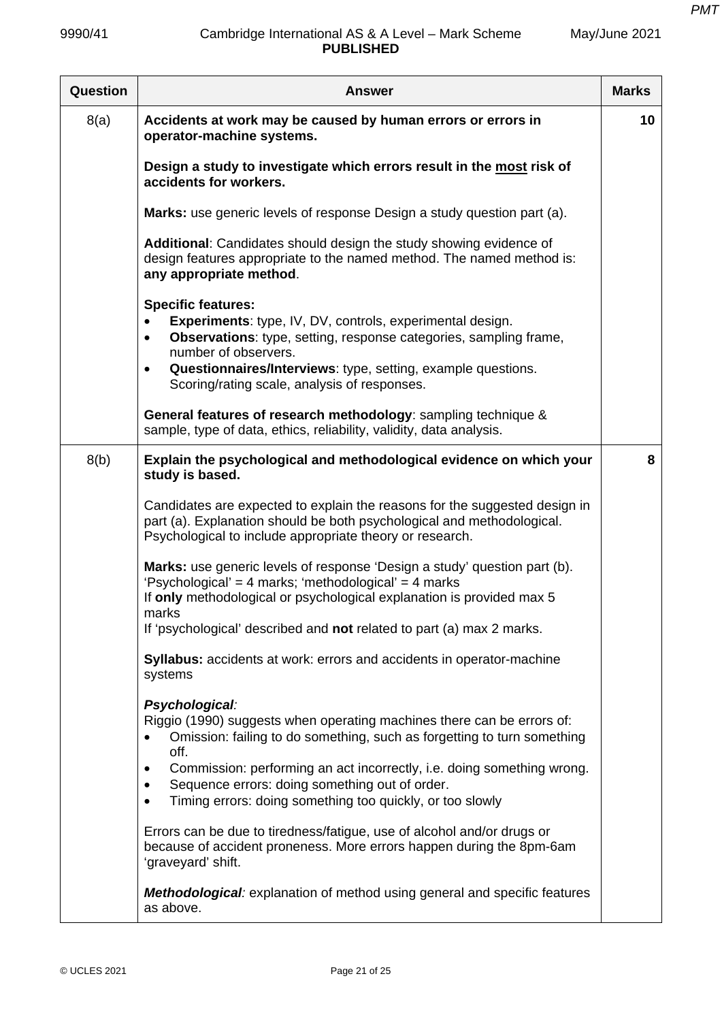| Question | <b>Answer</b>                                                                                                                                                                                                                                                                                                                                    | <b>Marks</b> |
|----------|--------------------------------------------------------------------------------------------------------------------------------------------------------------------------------------------------------------------------------------------------------------------------------------------------------------------------------------------------|--------------|
| 8(a)     | Accidents at work may be caused by human errors or errors in<br>operator-machine systems.                                                                                                                                                                                                                                                        | 10           |
|          | Design a study to investigate which errors result in the most risk of<br>accidents for workers.                                                                                                                                                                                                                                                  |              |
|          | Marks: use generic levels of response Design a study question part (a).                                                                                                                                                                                                                                                                          |              |
|          | Additional: Candidates should design the study showing evidence of<br>design features appropriate to the named method. The named method is:<br>any appropriate method.                                                                                                                                                                           |              |
|          | <b>Specific features:</b><br><b>Experiments:</b> type, IV, DV, controls, experimental design.<br>$\bullet$<br><b>Observations:</b> type, setting, response categories, sampling frame,<br>$\bullet$<br>number of observers.<br>Questionnaires/Interviews: type, setting, example questions.<br>٠<br>Scoring/rating scale, analysis of responses. |              |
|          | General features of research methodology: sampling technique &<br>sample, type of data, ethics, reliability, validity, data analysis.                                                                                                                                                                                                            |              |
| 8(b)     | Explain the psychological and methodological evidence on which your<br>study is based.                                                                                                                                                                                                                                                           | 8            |
|          | Candidates are expected to explain the reasons for the suggested design in<br>part (a). Explanation should be both psychological and methodological.<br>Psychological to include appropriate theory or research.                                                                                                                                 |              |
|          | Marks: use generic levels of response 'Design a study' question part (b).<br>'Psychological' = 4 marks; 'methodological' = 4 marks<br>If only methodological or psychological explanation is provided max 5<br>marks<br>If 'psychological' described and not related to part (a) max 2 marks.                                                    |              |
|          | Syllabus: accidents at work: errors and accidents in operator-machine<br>systems                                                                                                                                                                                                                                                                 |              |
|          | Psychological:<br>Riggio (1990) suggests when operating machines there can be errors of:<br>Omission: failing to do something, such as forgetting to turn something<br>off.                                                                                                                                                                      |              |
|          | Commission: performing an act incorrectly, i.e. doing something wrong.<br>Sequence errors: doing something out of order.<br>Timing errors: doing something too quickly, or too slowly                                                                                                                                                            |              |
|          | Errors can be due to tiredness/fatigue, use of alcohol and/or drugs or<br>because of accident proneness. More errors happen during the 8pm-6am<br>'graveyard' shift.                                                                                                                                                                             |              |
|          | <b>Methodological:</b> explanation of method using general and specific features<br>as above.                                                                                                                                                                                                                                                    |              |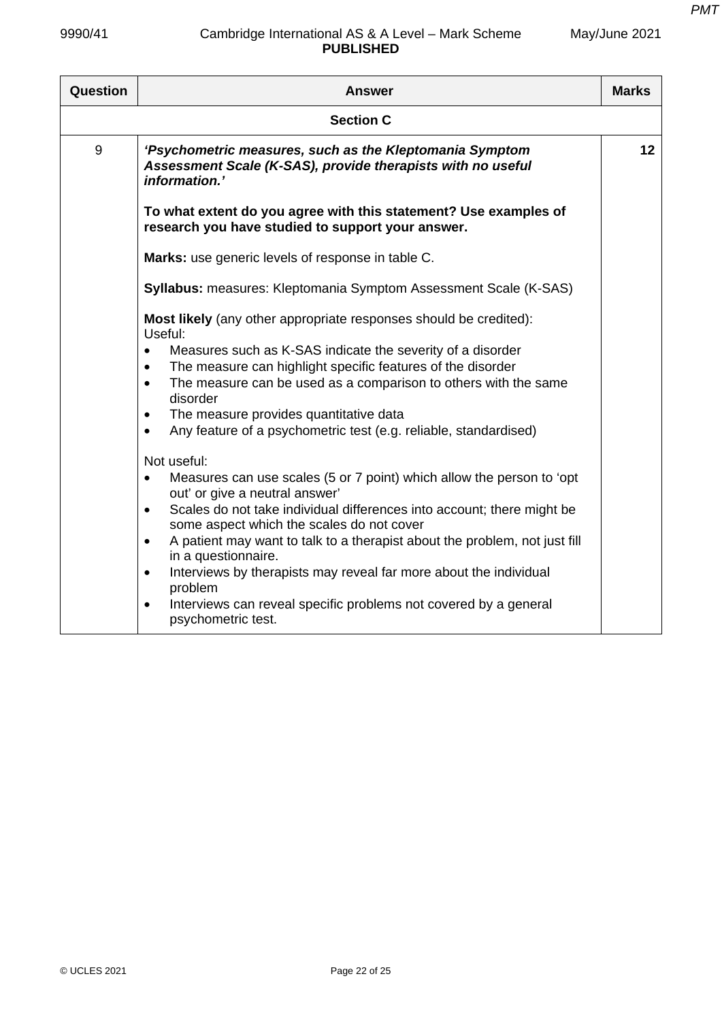*PMT*

| May/June 2021 |  |
|---------------|--|
|---------------|--|

| Question         | <b>Answer</b>                                                                                                                           | <b>Marks</b> |
|------------------|-----------------------------------------------------------------------------------------------------------------------------------------|--------------|
| <b>Section C</b> |                                                                                                                                         |              |
| 9                | 'Psychometric measures, such as the Kleptomania Symptom<br>Assessment Scale (K-SAS), provide therapists with no useful<br>information.' | 12           |
|                  | To what extent do you agree with this statement? Use examples of<br>research you have studied to support your answer.                   |              |
|                  | Marks: use generic levels of response in table C.                                                                                       |              |
|                  | <b>Syllabus:</b> measures: Kleptomania Symptom Assessment Scale (K-SAS)                                                                 |              |
|                  | Most likely (any other appropriate responses should be credited):<br>Useful:                                                            |              |
|                  | Measures such as K-SAS indicate the severity of a disorder<br>$\bullet$                                                                 |              |
|                  | The measure can highlight specific features of the disorder<br>$\bullet$                                                                |              |
|                  | The measure can be used as a comparison to others with the same<br>$\bullet$<br>disorder                                                |              |
|                  | The measure provides quantitative data<br>$\bullet$                                                                                     |              |
|                  | Any feature of a psychometric test (e.g. reliable, standardised)<br>$\bullet$                                                           |              |
|                  | Not useful:                                                                                                                             |              |
|                  | Measures can use scales (5 or 7 point) which allow the person to 'opt<br>out' or give a neutral answer'                                 |              |
|                  | Scales do not take individual differences into account; there might be<br>$\bullet$<br>some aspect which the scales do not cover        |              |
|                  | A patient may want to talk to a therapist about the problem, not just fill<br>$\bullet$<br>in a questionnaire.                          |              |
|                  | Interviews by therapists may reveal far more about the individual<br>$\bullet$<br>problem                                               |              |
|                  | Interviews can reveal specific problems not covered by a general<br>$\bullet$<br>psychometric test.                                     |              |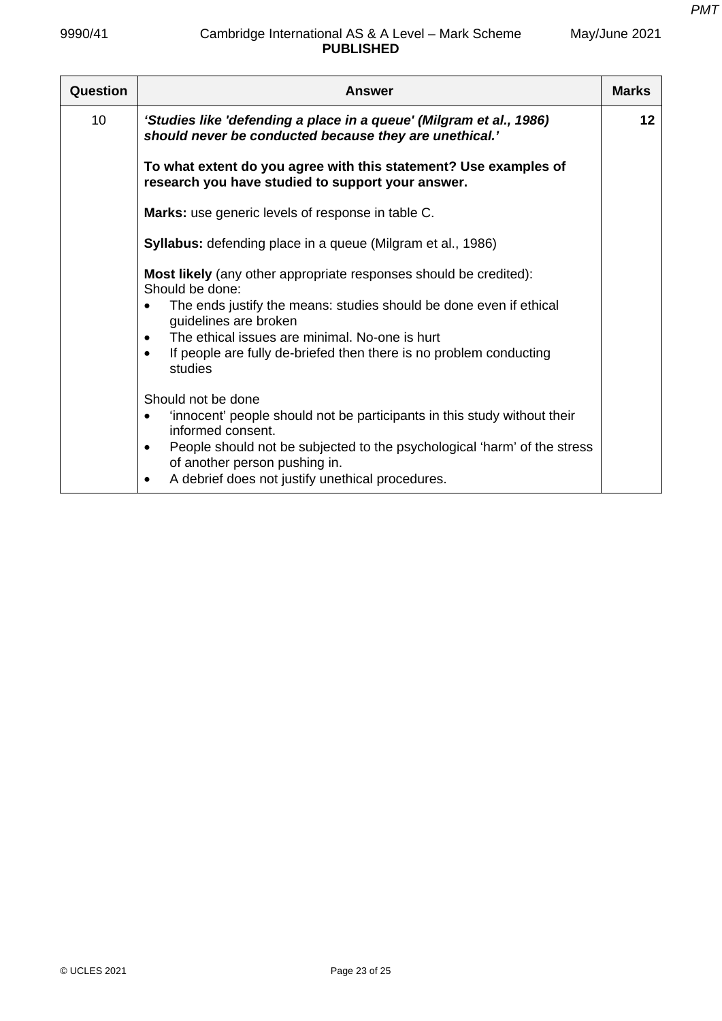| Question | <b>Answer</b>                                                                                                                                                                                                                                                                                                                                           | <b>Marks</b> |
|----------|---------------------------------------------------------------------------------------------------------------------------------------------------------------------------------------------------------------------------------------------------------------------------------------------------------------------------------------------------------|--------------|
| 10       | 'Studies like 'defending a place in a queue' (Milgram et al., 1986)<br>should never be conducted because they are unethical.'                                                                                                                                                                                                                           | 12           |
|          | To what extent do you agree with this statement? Use examples of<br>research you have studied to support your answer.                                                                                                                                                                                                                                   |              |
|          | Marks: use generic levels of response in table C.                                                                                                                                                                                                                                                                                                       |              |
|          | <b>Syllabus:</b> defending place in a queue (Milgram et al., 1986)                                                                                                                                                                                                                                                                                      |              |
|          | <b>Most likely</b> (any other appropriate responses should be credited):<br>Should be done:<br>The ends justify the means: studies should be done even if ethical<br>guidelines are broken<br>The ethical issues are minimal. No-one is hurt<br>$\bullet$<br>If people are fully de-briefed then there is no problem conducting<br>$\bullet$<br>studies |              |
|          | Should not be done<br>'innocent' people should not be participants in this study without their<br>$\bullet$<br>informed consent.<br>People should not be subjected to the psychological 'harm' of the stress<br>$\bullet$<br>of another person pushing in.<br>A debrief does not justify unethical procedures.<br>$\bullet$                             |              |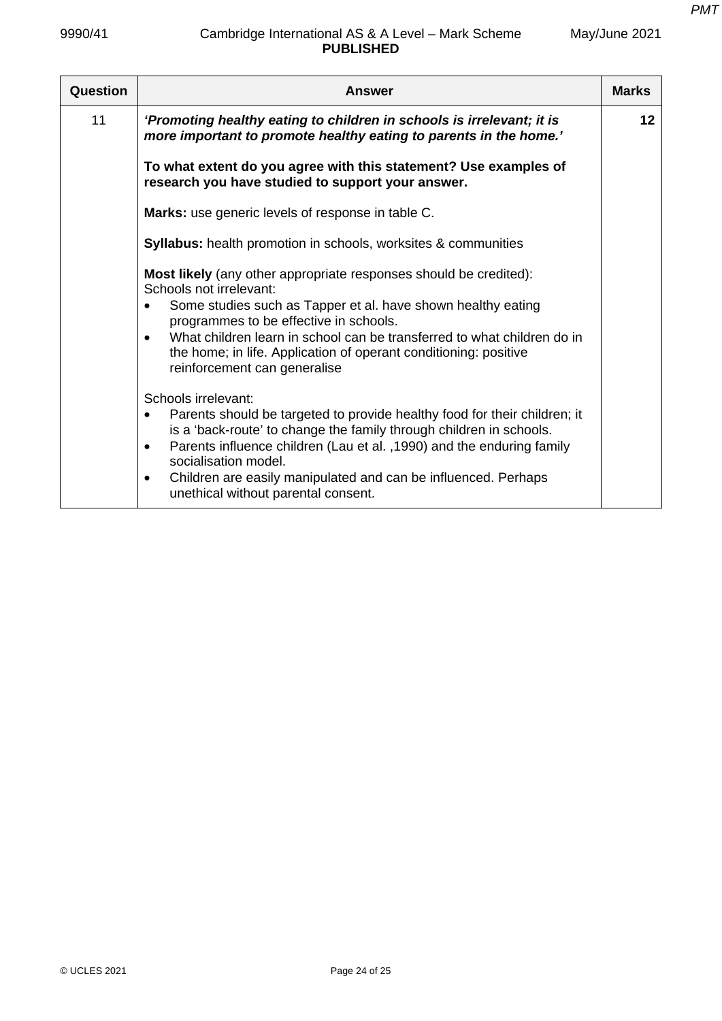| Question | Answer                                                                                                                                                                                                                                                                                                                                                                                                                   | <b>Marks</b> |
|----------|--------------------------------------------------------------------------------------------------------------------------------------------------------------------------------------------------------------------------------------------------------------------------------------------------------------------------------------------------------------------------------------------------------------------------|--------------|
| 11       | 'Promoting healthy eating to children in schools is irrelevant; it is<br>more important to promote healthy eating to parents in the home.'                                                                                                                                                                                                                                                                               | 12           |
|          | To what extent do you agree with this statement? Use examples of<br>research you have studied to support your answer.                                                                                                                                                                                                                                                                                                    |              |
|          | Marks: use generic levels of response in table C.                                                                                                                                                                                                                                                                                                                                                                        |              |
|          | <b>Syllabus:</b> health promotion in schools, worksites & communities                                                                                                                                                                                                                                                                                                                                                    |              |
|          | <b>Most likely</b> (any other appropriate responses should be credited):<br>Schools not irrelevant:<br>Some studies such as Tapper et al. have shown healthy eating<br>programmes to be effective in schools.<br>What children learn in school can be transferred to what children do in<br>the home; in life. Application of operant conditioning: positive<br>reinforcement can generalise                             |              |
|          | Schools irrelevant:<br>Parents should be targeted to provide healthy food for their children; it<br>$\bullet$<br>is a 'back-route' to change the family through children in schools.<br>Parents influence children (Lau et al., 1990) and the enduring family<br>$\bullet$<br>socialisation model.<br>Children are easily manipulated and can be influenced. Perhaps<br>$\bullet$<br>unethical without parental consent. |              |